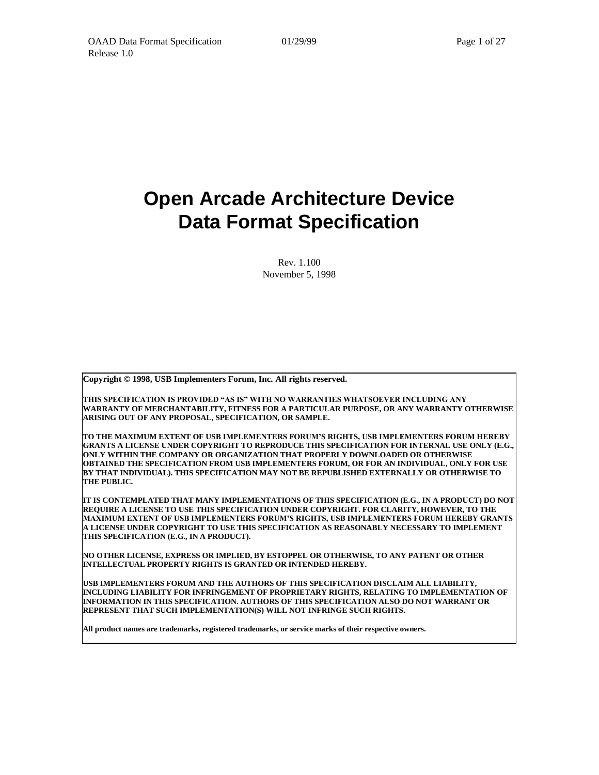# **Open Arcade Architecture Device Data Format Specification**

Rev. 1.100 November 5, 1998

**Copyright © 1998, USB Implementers Forum, Inc. All rights reserved.**

**THIS SPECIFICATION IS PROVIDED "AS IS" WITH NO WARRANTIES WHATSOEVER INCLUDING ANY WARRANTY OF MERCHANTABILITY, FITNESS FOR A PARTICULAR PURPOSE, OR ANY WARRANTY OTHERWISE ARISING OUT OF ANY PROPOSAL, SPECIFICATION, OR SAMPLE.** 

**TO THE MAXIMUM EXTENT OF USB IMPLEMENTERS FORUM'S RIGHTS, USB IMPLEMENTERS FORUM HEREBY GRANTS A LICENSE UNDER COPYRIGHT TO REPRODUCE THIS SPECIFICATION FOR INTERNAL USE ONLY (E.G., ONLY WITHIN THE COMPANY OR ORGANIZATION THAT PROPERLY DOWNLOADED OR OTHERWISE OBTAINED THE SPECIFICATION FROM USB IMPLEMENTERS FORUM, OR FOR AN INDIVIDUAL, ONLY FOR USE BY THAT INDIVIDUAL). THIS SPECIFICATION MAY NOT BE REPUBLISHED EXTERNALLY OR OTHERWISE TO THE PUBLIC.** 

**IT IS CONTEMPLATED THAT MANY IMPLEMENTATIONS OF THIS SPECIFICATION (E.G., IN A PRODUCT) DO NOT REQUIRE A LICENSE TO USE THIS SPECIFICATION UNDER COPYRIGHT. FOR CLARITY, HOWEVER, TO THE MAXIMUM EXTENT OF USB IMPLEMENTERS FORUM'S RIGHTS, USB IMPLEMENTERS FORUM HEREBY GRANTS A LICENSE UNDER COPYRIGHT TO USE THIS SPECIFICATION AS REASONABLY NECESSARY TO IMPLEMENT THIS SPECIFICATION (E.G., IN A PRODUCT).** 

**NO OTHER LICENSE, EXPRESS OR IMPLIED, BY ESTOPPEL OR OTHERWISE, TO ANY PATENT OR OTHER INTELLECTUAL PROPERTY RIGHTS IS GRANTED OR INTENDED HEREBY.**

**USB IMPLEMENTERS FORUM AND THE AUTHORS OF THIS SPECIFICATION DISCLAIM ALL LIABILITY, INCLUDING LIABILITY FOR INFRINGEMENT OF PROPRIETARY RIGHTS, RELATING TO IMPLEMENTATION OF INFORMATION IN THIS SPECIFICATION. AUTHORS OF THIS SPECIFICATION ALSO DO NOT WARRANT OR REPRESENT THAT SUCH IMPLEMENTATION(S) WILL NOT INFRINGE SUCH RIGHTS.** 

**All product names are trademarks, registered trademarks, or service marks of their respective owners.**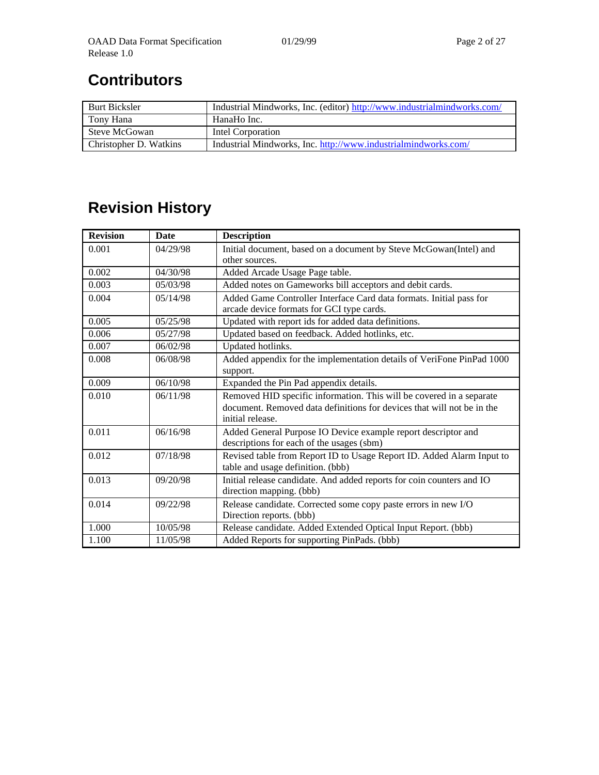# **Contributors**

| <b>Burt Bicksler</b>   | Industrial Mindworks, Inc. (editor) http://www.industrialmindworks.com/ |
|------------------------|-------------------------------------------------------------------------|
| Tony Hana              | HanaHo Inc.                                                             |
| Steve McGowan          | Intel Corporation                                                       |
| Christopher D. Watkins | Industrial Mindworks, Inc. http://www.industrialmindworks.com/          |

# **Revision History**

| <b>Revision</b> | Date     | <b>Description</b>                                                                                               |
|-----------------|----------|------------------------------------------------------------------------------------------------------------------|
| 0.001           | 04/29/98 | Initial document, based on a document by Steve McGowan(Intel) and<br>other sources.                              |
| 0.002           | 04/30/98 | Added Arcade Usage Page table.                                                                                   |
| 0.003           | 05/03/98 | Added notes on Gameworks bill acceptors and debit cards.                                                         |
| 0.004           | 05/14/98 | Added Game Controller Interface Card data formats. Initial pass for<br>arcade device formats for GCI type cards. |
| 0.005           | 05/25/98 | Updated with report ids for added data definitions.                                                              |
| 0.006           | 05/27/98 | Updated based on feedback. Added hotlinks, etc.                                                                  |
| 0.007           | 06/02/98 | Updated hotlinks.                                                                                                |
| 0.008           | 06/08/98 | Added appendix for the implementation details of VeriFone PinPad 1000<br>support.                                |
| 0.009           | 06/10/98 | Expanded the Pin Pad appendix details.                                                                           |
| 0.010           | 06/11/98 | Removed HID specific information. This will be covered in a separate                                             |
|                 |          | document. Removed data definitions for devices that will not be in the<br>initial release.                       |
| 0.011           | 06/16/98 | Added General Purpose IO Device example report descriptor and<br>descriptions for each of the usages (sbm)       |
| 0.012           | 07/18/98 | Revised table from Report ID to Usage Report ID. Added Alarm Input to<br>table and usage definition. (bbb)       |
| 0.013           | 09/20/98 | Initial release candidate. And added reports for coin counters and IO<br>direction mapping. (bbb)                |
| 0.014           | 09/22/98 | Release candidate. Corrected some copy paste errors in new I/O<br>Direction reports. (bbb)                       |
| 1.000           | 10/05/98 | Release candidate. Added Extended Optical Input Report. (bbb)                                                    |
| 1.100           | 11/05/98 | Added Reports for supporting PinPads. (bbb)                                                                      |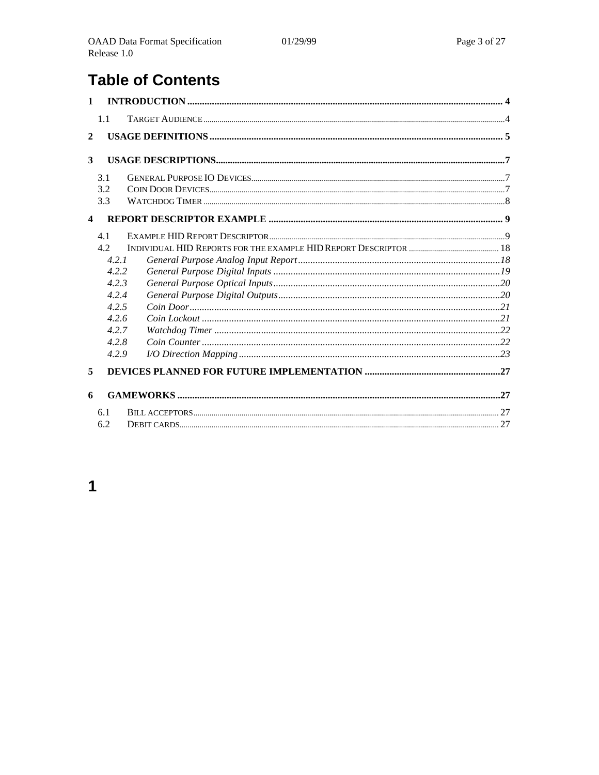# **Table of Contents**

| $\mathbf{1}$            |       |  |
|-------------------------|-------|--|
|                         | 1.1   |  |
| $\overline{2}$          |       |  |
|                         |       |  |
| 3                       |       |  |
|                         | 3.1   |  |
|                         | 3.2   |  |
|                         | 3.3   |  |
| $\overline{\mathbf{4}}$ |       |  |
|                         | 4.1   |  |
|                         | 4.2.  |  |
|                         | 4.2.1 |  |
|                         | 4.2.2 |  |
|                         | 4.2.3 |  |
|                         | 4.2.4 |  |
|                         | 4.2.5 |  |
|                         | 4.2.6 |  |
|                         | 4.2.7 |  |
|                         | 4.2.8 |  |
|                         | 4.2.9 |  |
| 5                       |       |  |
| 6                       |       |  |
|                         | 6.1   |  |
|                         | 6.2   |  |

# $\overline{\mathbf{1}}$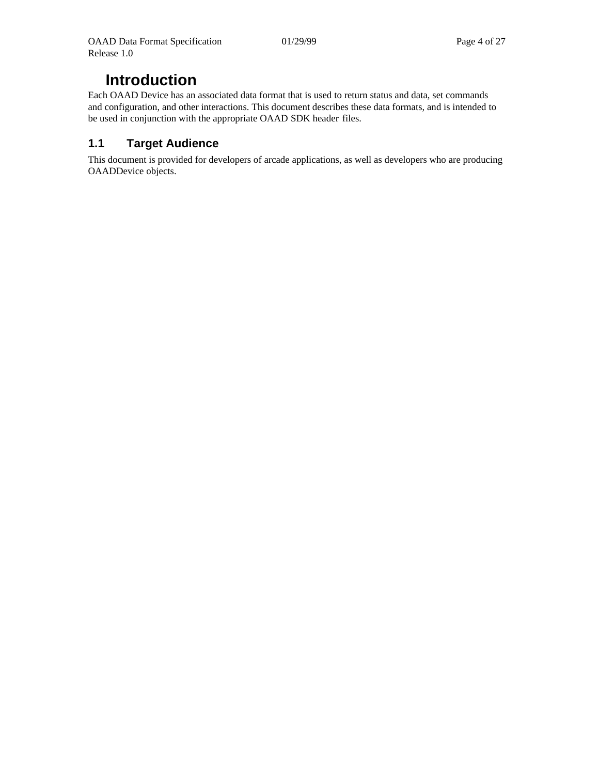# **Introduction**

Each OAAD Device has an associated data format that is used to return status and data, set commands and configuration, and other interactions. This document describes these data formats, and is intended to be used in conjunction with the appropriate OAAD SDK header files.

# <span id="page-3-0"></span>**1.1 Target Audience**

This document is provided for developers of arcade applications, as well as developers who are producing OAADDevice objects.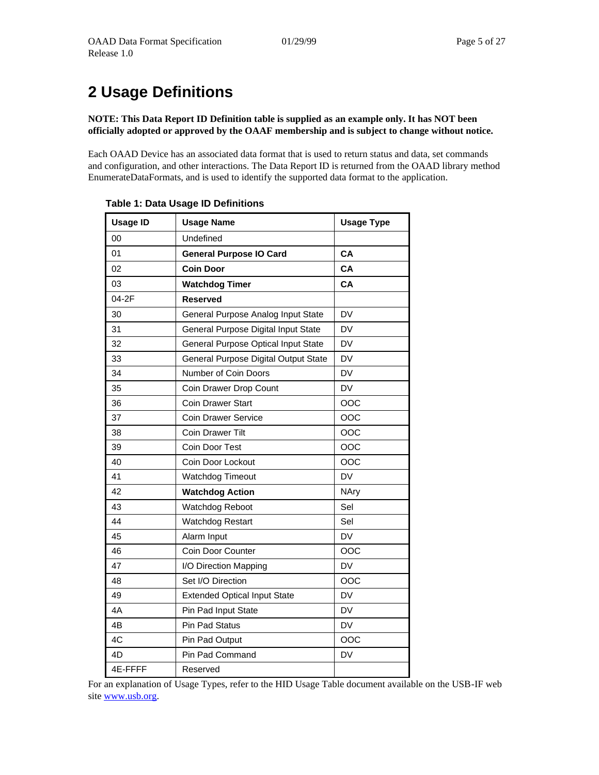# <span id="page-4-0"></span>**2 Usage Definitions**

**NOTE: This Data Report ID Definition table is supplied as an example only. It has NOT been officially adopted or approved by the OAAF membership and is subject to change without notice.**

Each OAAD Device has an associated data format that is used to return status and data, set commands and configuration, and other interactions. The Data Report ID is returned from the OAAD library method EnumerateDataFormats, and is used to identify the supported data format to the application.

| <b>Usage ID</b> | <b>Usage Name</b>                    | <b>Usage Type</b> |
|-----------------|--------------------------------------|-------------------|
| 00              | Undefined                            |                   |
| 01              | <b>General Purpose IO Card</b>       | CA                |
| 02              | <b>Coin Door</b>                     | CA                |
| 03              | <b>Watchdog Timer</b>                | CA                |
| 04-2F           | <b>Reserved</b>                      |                   |
| 30              | General Purpose Analog Input State   | DV                |
| 31              | General Purpose Digital Input State  | DV                |
| 32              | General Purpose Optical Input State  | DV                |
| 33              | General Purpose Digital Output State | DV                |
| 34              | Number of Coin Doors                 | DV                |
| 35              | Coin Drawer Drop Count               | DV                |
| 36              | <b>Coin Drawer Start</b>             | OOC               |
| 37              | <b>Coin Drawer Service</b>           | OOC               |
| 38              | <b>Coin Drawer Tilt</b>              | OOC               |
| 39              | Coin Door Test                       | OOC               |
| 40              | Coin Door Lockout                    | OOC               |
| 41              | <b>Watchdog Timeout</b>              | <b>DV</b>         |
| 42              | <b>Watchdog Action</b>               | <b>NAry</b>       |
| 43              | Watchdog Reboot                      | Sel               |
| 44              | Watchdog Restart                     | Sel               |
| 45              | Alarm Input                          | DV                |
| 46              | Coin Door Counter                    | OOC               |
| 47              | I/O Direction Mapping                | <b>DV</b>         |
| 48              | Set I/O Direction                    | OOC               |
| 49              | <b>Extended Optical Input State</b>  | <b>DV</b>         |
| 4A              | Pin Pad Input State                  | DV                |
| 4B              | Pin Pad Status                       | <b>DV</b>         |
| 4C              | Pin Pad Output                       | OOC               |
| 4D              | Pin Pad Command                      | DV                |
| 4E-FFFF         | Reserved                             |                   |

#### **Table 1: Data Usage ID Definitions**

For an explanation of Usage Types, refer to the HID Usage Table document available on the USB-IF web site [www.usb.org.](http://www.usb.org/)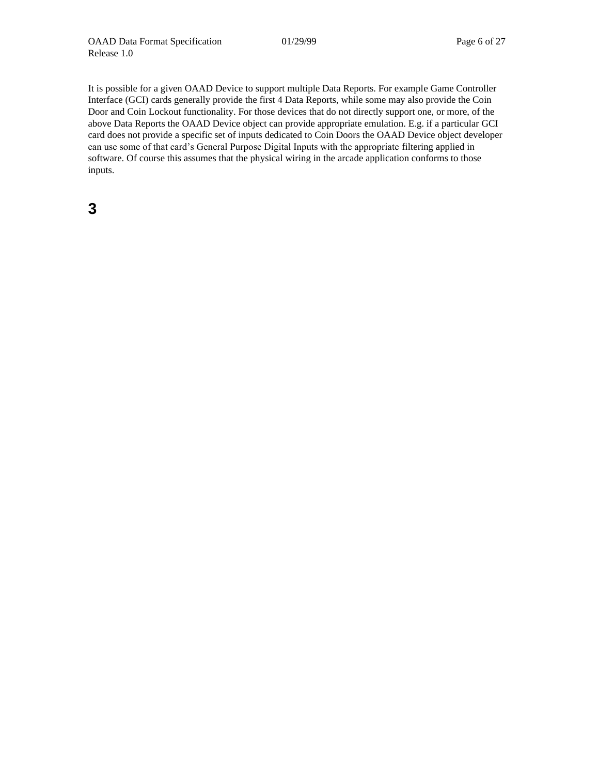It is possible for a given OAAD Device to support multiple Data Reports. For example Game Controller Interface (GCI) cards generally provide the first 4 Data Reports, while some may also provide the Coin Door and Coin Lockout functionality. For those devices that do not directly support one, or more, of the above Data Reports the OAAD Device object can provide appropriate emulation. E.g. if a particular GCI card does not provide a specific set of inputs dedicated to Coin Doors the OAAD Device object developer can use some of that card's General Purpose Digital Inputs with the appropriate filtering applied in software. Of course this assumes that the physical wiring in the arcade application conforms to those inputs.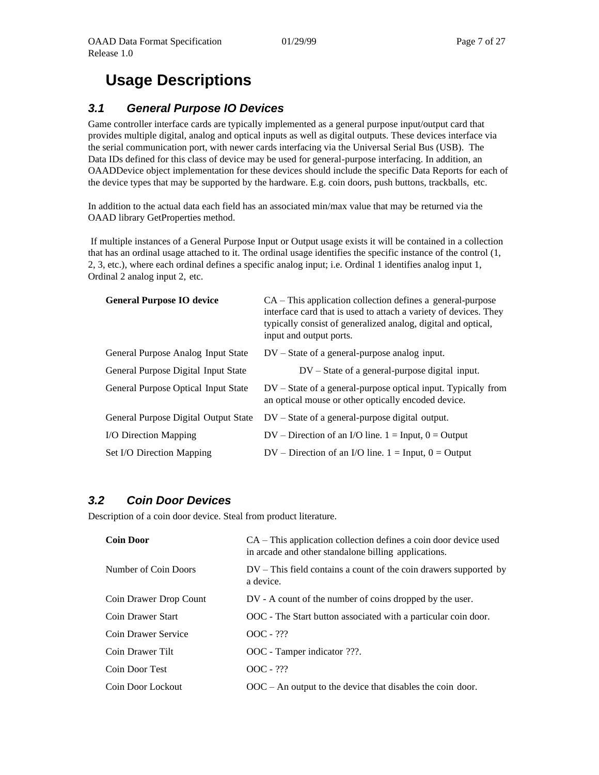# **Usage Descriptions**

## <span id="page-6-0"></span>*3.1 General Purpose IO Devices*

Game controller interface cards are typically implemented as a general purpose input/output card that provides multiple digital, analog and optical inputs as well as digital outputs. These devices interface via the serial communication port, with newer cards interfacing via the Universal Serial Bus (USB). The Data IDs defined for this class of device may be used for general-purpose interfacing. In addition, an OAADDevice object implementation for these devices should include the specific Data Reports for each of the device types that may be supported by the hardware. E.g. coin doors, push buttons, trackballs, etc.

In addition to the actual data each field has an associated min/max value that may be returned via the OAAD library GetProperties method.

If multiple instances of a General Purpose Input or Output usage exists it will be contained in a collection that has an ordinal usage attached to it. The ordinal usage identifies the specific instance of the control (1, 2, 3, etc.), where each ordinal defines a specific analog input; i.e. Ordinal 1 identifies analog input 1, Ordinal 2 analog input 2, etc.

| <b>General Purpose IO device</b>     | $CA$ – This application collection defines a general-purpose<br>interface card that is used to attach a variety of devices. They<br>typically consist of generalized analog, digital and optical,<br>input and output ports. |
|--------------------------------------|------------------------------------------------------------------------------------------------------------------------------------------------------------------------------------------------------------------------------|
| General Purpose Analog Input State   | $DV - State$ of a general-purpose analog input.                                                                                                                                                                              |
| General Purpose Digital Input State  | $DV - State$ of a general-purpose digital input.                                                                                                                                                                             |
| General Purpose Optical Input State  | $DV - State$ of a general-purpose optical input. Typically from<br>an optical mouse or other optically encoded device.                                                                                                       |
| General Purpose Digital Output State | $DV - State$ of a general-purpose digital output.                                                                                                                                                                            |
| <b>I/O Direction Mapping</b>         | $DV - Direction$ of an I/O line. 1 = Input, 0 = Output                                                                                                                                                                       |
| Set I/O Direction Mapping            | $DV$ – Direction of an I/O line. 1 = Input, 0 = Output                                                                                                                                                                       |

#### <span id="page-6-1"></span>*3.2 Coin Door Devices*

Description of a coin door device. Steal from product literature.

| <b>Coin Door</b>       | CA – This application collection defines a coin door device used<br>in arcade and other standalone billing applications. |
|------------------------|--------------------------------------------------------------------------------------------------------------------------|
| Number of Coin Doors   | $DV$ – This field contains a count of the coin drawers supported by<br>a device.                                         |
| Coin Drawer Drop Count | DV - A count of the number of coins dropped by the user.                                                                 |
| Coin Drawer Start      | OOC - The Start button associated with a particular coin door.                                                           |
| Coin Drawer Service    | $OOC - ???$                                                                                                              |
| Coin Drawer Tilt       | OOC - Tamper indicator ???.                                                                                              |
| Coin Door Test         | $OOC - ???$                                                                                                              |
| Coin Door Lockout      | $OOC - An$ output to the device that disables the coin door.                                                             |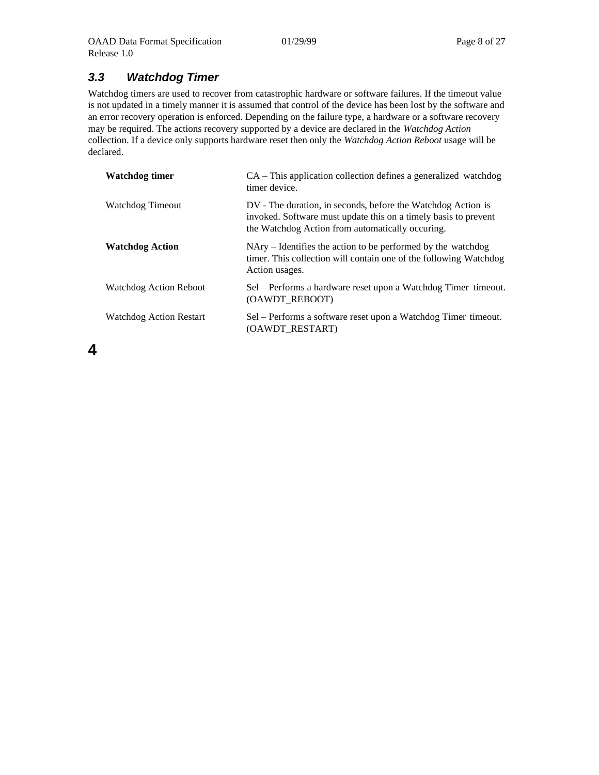# <span id="page-7-0"></span>*3.3 Watchdog Timer*

Watchdog timers are used to recover from catastrophic hardware or software failures. If the timeout value is not updated in a timely manner it is assumed that control of the device has been lost by the software and an error recovery operation is enforced. Depending on the failure type, a hardware or a software recovery may be required. The actions recovery supported by a device are declared in the *Watchdog Action*  collection. If a device only supports hardware reset then only the *Watchdog Action Reboot* usage will be declared.

| Watchdog timer                 | $CA$ – This application collection defines a generalized watchdog<br>timer device.                                                                                                  |
|--------------------------------|-------------------------------------------------------------------------------------------------------------------------------------------------------------------------------------|
| Watchdog Timeout               | DV - The duration, in seconds, before the Watchdog Action is<br>invoked. Software must update this on a timely basis to prevent<br>the Watchdog Action from automatically occuring. |
| <b>Watchdog Action</b>         | NAry – Identifies the action to be performed by the watchdog<br>timer. This collection will contain one of the following Watchdog<br>Action usages.                                 |
| <b>Watchdog Action Reboot</b>  | Sel – Performs a hardware reset upon a Watchdog Timer timeout.<br>(OAWDT REBOOT)                                                                                                    |
| <b>Watchdog Action Restart</b> | Sel – Performs a software reset upon a Watchdog Timer timeout.<br>(OAWDT RESTART)                                                                                                   |

**4**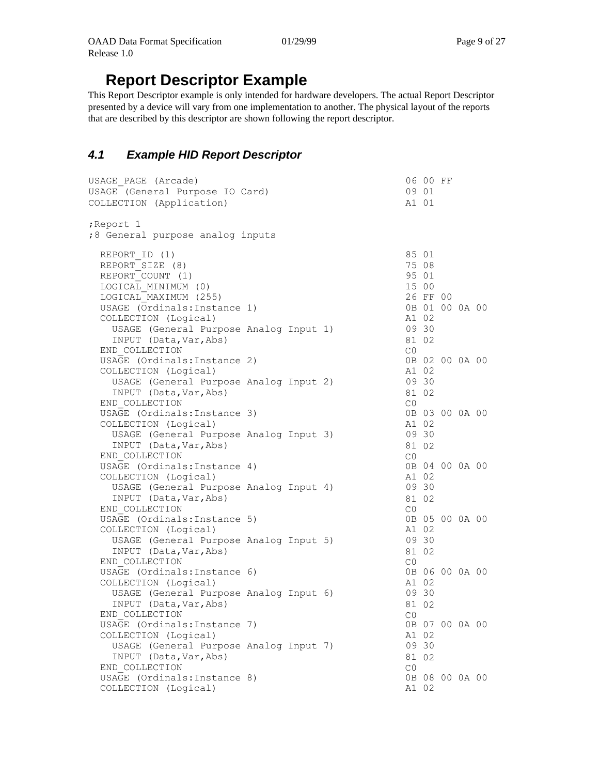# **Report Descriptor Example**

This Report Descriptor example is only intended for hardware developers. The actual Report Descriptor presented by a device will vary from one implementation to another. The physical layout of the reports that are described by this descriptor are shown following the report descriptor.

# <span id="page-8-0"></span>*4.1 Example HID Report Descriptor*

| USAGE PAGE (Arcade)<br>USAGE (General Purpose IO Card)<br>COLLECTION (Application)                                                                                                                                               | 06 00 FF<br>09 01<br>A1 01                                                                |  |  |
|----------------------------------------------------------------------------------------------------------------------------------------------------------------------------------------------------------------------------------|-------------------------------------------------------------------------------------------|--|--|
| ;Report 1<br>:8 General purpose analog inputs                                                                                                                                                                                    |                                                                                           |  |  |
| REPORT ID (1)<br>REPORT SIZE (8)<br>REPORT COUNT (1)<br>LOGICAL MINIMUM (0)<br>LOGICAL MAXIMUM (255)<br>USAGE (Ordinals: Instance 1)<br>COLLECTION (Logical)<br>USAGE (General Purpose Analog Input 1)<br>INPUT (Data, Var, Abs) | 85 01<br>75 08<br>95 01<br>15 00<br>26 FF 00<br>0B 01 00 0A 00<br>A1 02<br>09 30<br>81 02 |  |  |
| END COLLECTION<br>USAGE (Ordinals: Instance 2)<br>COLLECTION (Logical)<br>USAGE (General Purpose Analog Input 2)<br>INPUT (Data, Var, Abs)                                                                                       | CO<br>0B 02 00 0A 00<br>A1 02<br>09 30<br>81 02                                           |  |  |
| END COLLECTION<br>USAGE (Ordinals: Instance 3)<br>COLLECTION (Logical)<br>USAGE (General Purpose Analog Input 3)<br>INPUT (Data, Var, Abs)                                                                                       | C <sub>0</sub><br>0B 03 00 0A 00<br>A1 02<br>09 30<br>81 02                               |  |  |
| END COLLECTION<br>USAGE (Ordinals: Instance 4)<br>COLLECTION (Logical)<br>USAGE (General Purpose Analog Input 4)<br>INPUT (Data, Var, Abs)                                                                                       | CO<br>0B 04 00 0A 00<br>A1 02<br>09 30<br>81 02                                           |  |  |
| END COLLECTION<br>USAGE (Ordinals: Instance 5)<br>COLLECTION (Logical)<br>USAGE (General Purpose Analog Input 5)<br>INPUT (Data, Var, Abs)                                                                                       | C <sub>0</sub><br>0B 05 00 0A 00<br>A1 02<br>09 30<br>81 02                               |  |  |
| END COLLECTION<br>USAGE (Ordinals: Instance 6)<br>COLLECTION (Logical)<br>USAGE (General Purpose Analog Input 6)                                                                                                                 | CO<br>0B 06 00 0A 00<br>A1 02<br>09 30                                                    |  |  |
| INPUT (Data, Var, Abs)<br>END COLLECTION<br>USAGE (Ordinals: Instance 7)<br>COLLECTION (Logical)                                                                                                                                 | 81 02<br>CO<br>0B 07 00 0A 00<br>A1 02                                                    |  |  |
| USAGE (General Purpose Analog Input 7)<br>INPUT (Data, Var, Abs)<br>END COLLECTION                                                                                                                                               | 09 30<br>81 02<br>CO<br>0B 08 00 0A 00                                                    |  |  |
| USAGE (Ordinals: Instance 8)<br>COLLECTION (Logical)                                                                                                                                                                             | A1 02                                                                                     |  |  |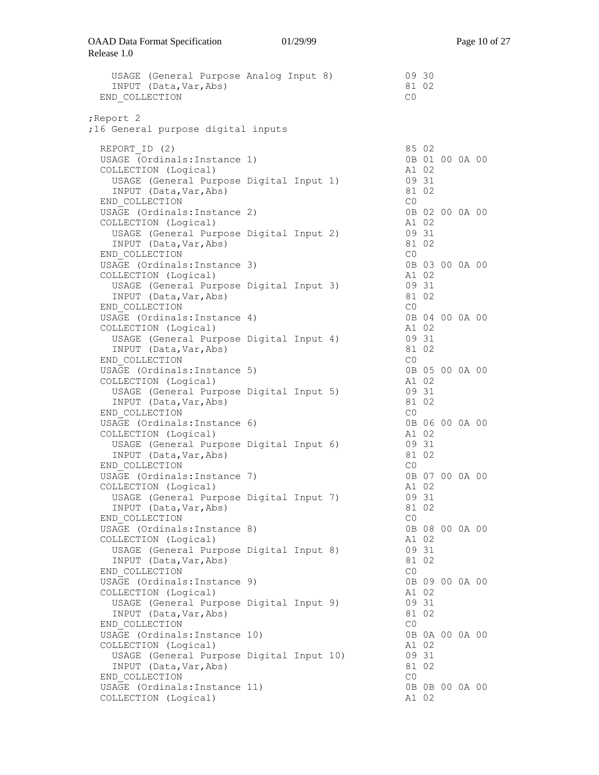| USAGE (General Purpose Analog Input 8)<br>INPUT (Data, Var, Abs)<br>END COLLECTION                                          |  | 09 30<br>81 02<br>CO    |                |  |  |
|-----------------------------------------------------------------------------------------------------------------------------|--|-------------------------|----------------|--|--|
| Report 2;<br>;16 General purpose digital inputs                                                                             |  |                         |                |  |  |
| REPORT ID (2)<br>USAGE (Ordinals: Instance 1)<br>COLLECTION (Logical)                                                       |  | 85 02<br>A1 02          | 0B 01 00 0A 00 |  |  |
| USAGE (General Purpose Digital Input 1)<br>INPUT (Data, Var, Abs)<br>END COLLECTION                                         |  | 09 31<br>81 02<br>CO    |                |  |  |
| USAGE (Ordinals: Instance 2)<br>COLLECTION (Logical)                                                                        |  | A1 02                   | 0B 02 00 0A 00 |  |  |
| USAGE (General Purpose Digital Input 2)<br>INPUT (Data, Var, Abs)<br>END COLLECTION                                         |  | 09 31<br>81 02<br>C0    |                |  |  |
| USAGE (Ordinals: Instance 3)<br>COLLECTION (Logical)                                                                        |  | A1 02                   | 0B 03 00 0A 00 |  |  |
| USAGE (General Purpose Digital Input 3)<br>INPUT (Data, Var, Abs)<br>END COLLECTION                                         |  | 09 31<br>81 02<br>CO    |                |  |  |
| USAGE (Ordinals: Instance 4)<br>COLLECTION (Logical)<br>USAGE (General Purpose Digital Input 4)                             |  | A1 02<br>09 31          | 0B 04 00 0A 00 |  |  |
| INPUT (Data, Var, Abs)<br>END COLLECTION<br>USAGE (Ordinals: Instance 5)                                                    |  | 81 02<br>CO             | 0B 05 00 0A 00 |  |  |
| COLLECTION (Logical)<br>USAGE (General Purpose Digital Input 5)<br>INPUT (Data, Var, Abs)                                   |  | A1 02<br>09 31<br>81 02 |                |  |  |
| END COLLECTION<br>USAGE (Ordinals: Instance 6)<br>COLLECTION (Logical)                                                      |  | CO<br>A1 02             | 0B 06 00 0A 00 |  |  |
| USAGE (General Purpose Digital Input 6)<br>INPUT (Data, Var, Abs)<br>END COLLECTION                                         |  | 09 31<br>81 02<br>CO    |                |  |  |
| USAGE (Ordinals: Instance 7)<br>COLLECTION (Logical)<br>USAGE (General Purpose Digital Input 7)                             |  | A1 02<br>09 31          | 0B 07 00 0A 00 |  |  |
| INPUT (Data, Var, Abs)<br>END COLLECTION                                                                                    |  | 81 02<br>CO             |                |  |  |
| USAGE (Ordinals: Instance 8)<br>COLLECTION (Logical)<br>USAGE (General Purpose Digital Input 8)<br>INPUT (Data, Var, Abs)   |  | A1 02<br>09 31<br>81 02 | 0B 08 00 0A 00 |  |  |
| END COLLECTION<br>USAGE (Ordinals: Instance 9)<br>COLLECTION (Logical)                                                      |  | CO<br>A1 02             | 0B 09 00 0A 00 |  |  |
| USAGE (General Purpose Digital Input 9)<br>INPUT (Data, Var, Abs)<br>END COLLECTION                                         |  | 09 31<br>81 02<br>CO    |                |  |  |
| USAGE (Ordinals: Instance 10)<br>COLLECTION (Logical)<br>USAGE (General Purpose Digital Input 10)<br>INPUT (Data, Var, Abs) |  | A1 02<br>09 31<br>81 02 | 0B 0A 00 0A 00 |  |  |
| END COLLECTION<br>USAGE (Ordinals: Instance 11)<br>COLLECTION (Logical)                                                     |  | CO<br>A1 02             | 0B 0B 00 0A 00 |  |  |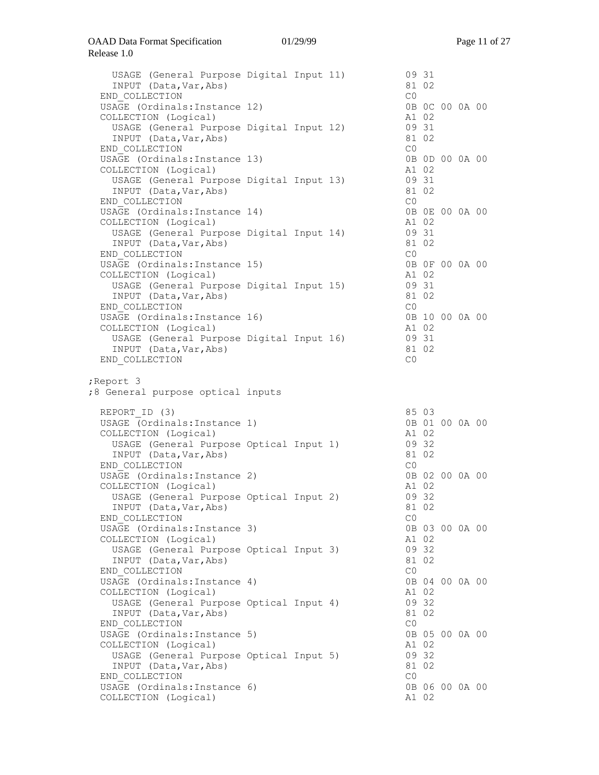| USAGE (General Purpose Digital Input 11)<br>INPUT (Data, Var, Abs)<br>END COLLECTION                                |  | 09 31<br>81 02<br>C0    |  |                |  |
|---------------------------------------------------------------------------------------------------------------------|--|-------------------------|--|----------------|--|
| USAGE (Ordinals: Instance 12)<br>COLLECTION (Logical)<br>USAGE (General Purpose Digital Input 12)                   |  | A1 02<br>09 31          |  | 0B 0C 00 0A 00 |  |
| INPUT (Data, Var, Abs)<br>END COLLECTION                                                                            |  | 81 02<br>C0             |  | 0B 0D 00 0A 00 |  |
| USAGE (Ordinals: Instance 13)<br>COLLECTION (Logical)<br>USAGE (General Purpose Digital Input 13)                   |  | A1 02<br>09 31          |  |                |  |
| INPUT (Data, Var, Abs)<br>END COLLECTION<br>USAGE (Ordinals: Instance 14)                                           |  | 81 02<br>C0             |  | 0B 0E 00 0A 00 |  |
| COLLECTION (Logical)<br>USAGE (General Purpose Digital Input 14)<br>INPUT (Data, Var, Abs)                          |  | A1 02<br>09 31<br>81 02 |  |                |  |
| END COLLECTION<br>USAGE (Ordinals: Instance 15)<br>COLLECTION (Logical)                                             |  | C0<br>A1 02             |  | 0B OF 00 0A 00 |  |
| USAGE (General Purpose Digital Input 15)<br>INPUT (Data, Var, Abs)<br>END COLLECTION                                |  | 09 31<br>81 02<br>CO    |  |                |  |
| USAGE (Ordinals: Instance 16)<br>COLLECTION (Logical)<br>USAGE (General Purpose Digital Input 16)                   |  | A1 02<br>09 31          |  | 0B 10 00 0A 00 |  |
| INPUT (Data, Var, Abs)<br>END COLLECTION                                                                            |  | 81 02<br>CO             |  |                |  |
| ; Report 3                                                                                                          |  |                         |  |                |  |
| ;8 General purpose optical inputs                                                                                   |  |                         |  |                |  |
| REPORT ID (3)<br>USAGE (Ordinals: Instance 1)                                                                       |  | 85 03<br>A1 02          |  | 0B 01 00 0A 00 |  |
| COLLECTION (Logical)<br>USAGE (General Purpose Optical Input 1)<br>INPUT (Data, Var, Abs)                           |  | 09 32<br>81 02          |  |                |  |
| END COLLECTION<br>USAGE (Ordinals: Instance 2)<br>COLLECTION (Logical)                                              |  | C0<br>A1 02             |  | 0B 02 00 0A 00 |  |
| USAGE (General Purpose Optical Input 2)<br>INPUT (Data, Var, Abs)<br>END COLLECTION                                 |  | 09 32<br>81 02<br>CO    |  |                |  |
| USAGE (Ordinals: Instance 3)<br>COLLECTION (Logical)<br>USAGE (General Purpose Optical Input 3)                     |  | A1 02<br>09 32          |  | 0B 03 00 0A 00 |  |
| INPUT (Data, Var, Abs)<br>END COLLECTION<br>USAGE (Ordinals: Instance 4)                                            |  | 81 02<br>CO             |  | 0B 04 00 0A 00 |  |
| COLLECTION (Logical)<br>USAGE (General Purpose Optical Input 4)<br>INPUT (Data, Var, Abs)                           |  | A1 02<br>09 32<br>81 02 |  |                |  |
| END COLLECTION<br>USAGE (Ordinals: Instance 5)<br>COLLECTION (Logical)                                              |  | CO<br>A1 02             |  | 0B 05 00 0A 00 |  |
| USAGE (General Purpose Optical Input 5)<br>INPUT (Data, Var, Abs)<br>END COLLECTION<br>USAGE (Ordinals: Instance 6) |  | 09 32<br>81 02<br>CO    |  | 0B 06 00 0A 00 |  |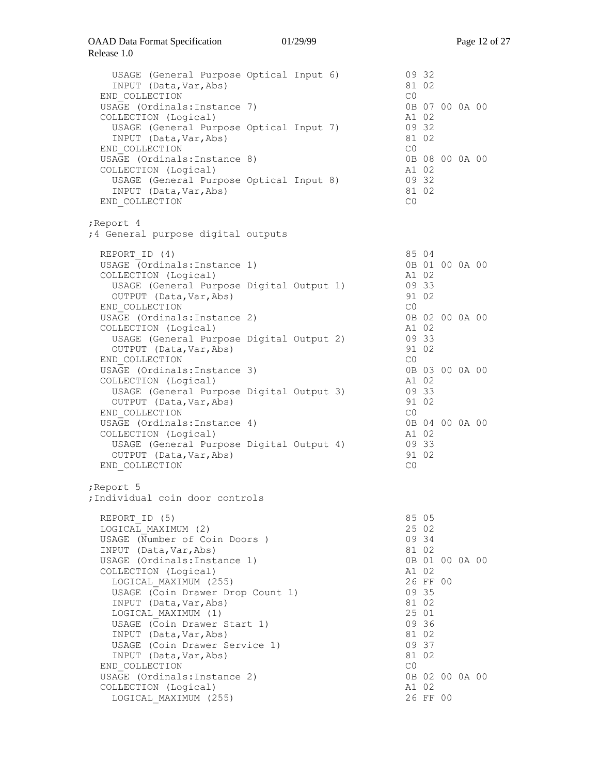| USAGE (General Purpose Optical Input 6)<br>INPUT (Data, Var, Abs)<br>END COLLECTION                                                                                                                                                                                                                                                                                                                         |  | CO                            | 09 32<br>81 02                                                                                                                         |  |  |
|-------------------------------------------------------------------------------------------------------------------------------------------------------------------------------------------------------------------------------------------------------------------------------------------------------------------------------------------------------------------------------------------------------------|--|-------------------------------|----------------------------------------------------------------------------------------------------------------------------------------|--|--|
| USAGE (Ordinals: Instance 7)<br>COLLECTION (Logical)<br>USAGE (General Purpose Optical Input 7)<br>INPUT (Data, Var, Abs)<br>END COLLECTION                                                                                                                                                                                                                                                                 |  | A1 02<br>81 02<br>CO          | 0B 07 00 0A 00<br>09 32                                                                                                                |  |  |
| USAGE (Ordinals: Instance 8)<br>COLLECTION (Logical)<br>USAGE (General Purpose Optical Input 8)<br>INPUT (Data, Var, Abs)<br>END COLLECTION                                                                                                                                                                                                                                                                 |  | A1 02<br>09 32<br>81 02<br>CO | 0B 08 00 0A 00                                                                                                                         |  |  |
| ;Report 4<br>;4 General purpose digital outputs                                                                                                                                                                                                                                                                                                                                                             |  |                               |                                                                                                                                        |  |  |
| REPORT ID (4)<br>USAGE (Ordinals: Instance 1)<br>COLLECTION (Logical)<br>USAGE (General Purpose Digital Output 1)<br>OUTPUT (Data, Var, Abs)                                                                                                                                                                                                                                                                |  |                               | 85 04<br>0B 01 00 0A 00<br>A1 02<br>09 33<br>91 02                                                                                     |  |  |
| END COLLECTION<br>USAGE (Ordinals: Instance 2)<br>COLLECTION (Logical)<br>USAGE (General Purpose Digital Output 2)<br>OUTPUT (Data, Var, Abs)<br>END COLLECTION                                                                                                                                                                                                                                             |  | CO<br>A1 02<br>09 33<br>CO    | 0B 02 00 0A 00<br>91 02                                                                                                                |  |  |
| USAGE (Ordinals: Instance 3)<br>COLLECTION (Logical)<br>USAGE (General Purpose Digital Output 3)<br>OUTPUT (Data, Var, Abs)<br>END COLLECTION                                                                                                                                                                                                                                                               |  | A1 02<br>09 33<br>CO          | 0B 03 00 0A 00<br>91 02                                                                                                                |  |  |
| USAGE (Ordinals: Instance 4)<br>COLLECTION (Logical)<br>USAGE (General Purpose Digital Output 4)<br>OUTPUT (Data, Var, Abs)<br>END COLLECTION                                                                                                                                                                                                                                                               |  | A1 02<br>09 33<br>CO          | 0B 04 00 0A 00<br>91 02                                                                                                                |  |  |
| ;Report 5<br>:Individual coin door controls                                                                                                                                                                                                                                                                                                                                                                 |  |                               |                                                                                                                                        |  |  |
| REPORT ID (5)<br>LOGICAL MAXIMUM (2)<br>USAGE (Number of Coin Doors )<br>INPUT (Data, Var, Abs)<br>USAGE (Ordinals: Instance 1)<br>COLLECTION (Logical)<br>LOGICAL MAXIMUM (255)<br>USAGE (Coin Drawer Drop Count 1)<br>INPUT (Data, Var, Abs)<br>LOGICAL MAXIMUM (1)<br>USAGE (Coin Drawer Start 1)<br>INPUT (Data, Var, Abs)<br>USAGE (Coin Drawer Service 1)<br>INPUT (Data, Var, Abs)<br>END COLLECTION |  | CO                            | 85 05<br>25 02<br>09 34<br>81 02<br>0B 01 00 0A 00<br>A1 02<br>26 FF 00<br>09 35<br>81 02<br>25 01<br>09 36<br>81 02<br>09 37<br>81 02 |  |  |
| USAGE (Ordinals: Instance 2)<br>COLLECTION (Logical)<br>LOGICAL MAXIMUM (255)                                                                                                                                                                                                                                                                                                                               |  |                               | 0B 02 00 0A 00<br>A1 02<br>26 FF 00                                                                                                    |  |  |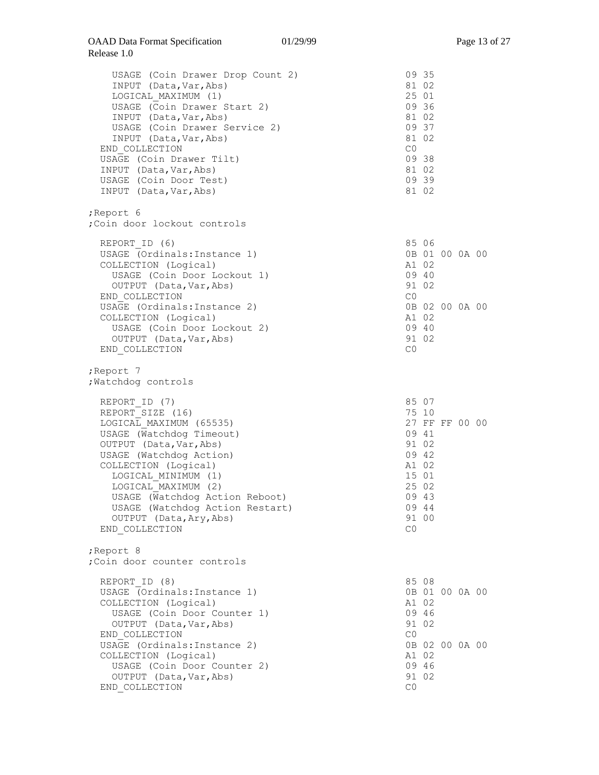| USAGE (Coin Drawer Drop Count 2)          | 09 35          |
|-------------------------------------------|----------------|
| INPUT (Data, Var, Abs)                    | 81 02          |
| LOGICAL MAXIMUM (1)                       | 25 01          |
| USAGE (Coin Drawer Start 2)               | 09 36          |
| INPUT (Data, Var, Abs)                    | 81 02          |
| USAGE (Coin Drawer Service 2)             | 09 37          |
| INPUT (Data, Var, Abs)                    | 81 02          |
| END COLLECTION                            | CO             |
| USAGE (Coin Drawer Tilt)                  | 09 38          |
| INPUT (Data, Var, Abs)                    | 81 02          |
| USAGE (Coin Door Test)                    | 09 39          |
| INPUT (Data, Var, Abs)                    | 81 02          |
| ;Report 6<br>;Coin door lockout controls  |                |
| REPORT ID (6)                             | 85 06          |
| USAGE (Ordinals: Instance 1)              | 0B 01 00 0A 00 |
| COLLECTION (Logical)                      | A1 02          |
| USAGE (Coin Door Lockout 1)               | 09 40          |
| OUTPUT (Data, Var, Abs)                   | 91 02          |
| END COLLECTION                            | C0             |
| USAGE (Ordinals: Instance 2)              | 0B 02 00 0A 00 |
| COLLECTION (Logical)                      | A1 02          |
| USAGE (Coin Door Lockout 2)               | 09 40          |
| OUTPUT (Data, Var, Abs)                   | 91 02          |
| END COLLECTION                            | CO             |
| ;Report 7<br>; Watchdog controls          |                |
| REPORT ID (7)                             | 85 07          |
| REPORT SIZE (16)                          | 75 10          |
| LOGICAL MAXIMUM (65535)                   | 27 FF FF 00 00 |
| USAGE (Watchdog Timeout)                  | 09 41          |
| OUTPUT (Data, Var, Abs)                   | 91 02          |
| USAGE (Watchdog Action)                   | 09 42          |
| COLLECTION (Logical)                      | A1 02          |
| LOGICAL MINIMUM (1)                       | 15 01          |
| LOGICAL MAXIMUM (2)                       | 25 02          |
| USAGE (Watchdog Action Reboot)            | 09 43          |
| USAGE (Watchdog Action Restart)           | 09 44          |
| OUTPUT (Data, Ary, Abs)                   | 91 00          |
| END COLLECTION                            | CO             |
| ;Report 8<br>; Coin door counter controls |                |
| REPORT ID (8)                             | 85 08          |
| USAGE (Ordinals: Instance 1)              | 0B 01 00 0A 00 |
| COLLECTION (Logical)                      | A1 02          |
| USAGE (Coin Door Counter 1)               | 09 46          |
| OUTPUT (Data, Var, Abs)                   | 91 02          |
| END COLLECTION                            | CO             |
| USAGE (Ordinals: Instance 2)              | 0B 02 00 0A 00 |
| COLLECTION (Logical)                      | A1 02          |
| USAGE (Coin Door Counter 2)               | 09 46          |
| OUTPUT (Data, Var, Abs)                   | 91 02          |
| END COLLECTION                            | CO             |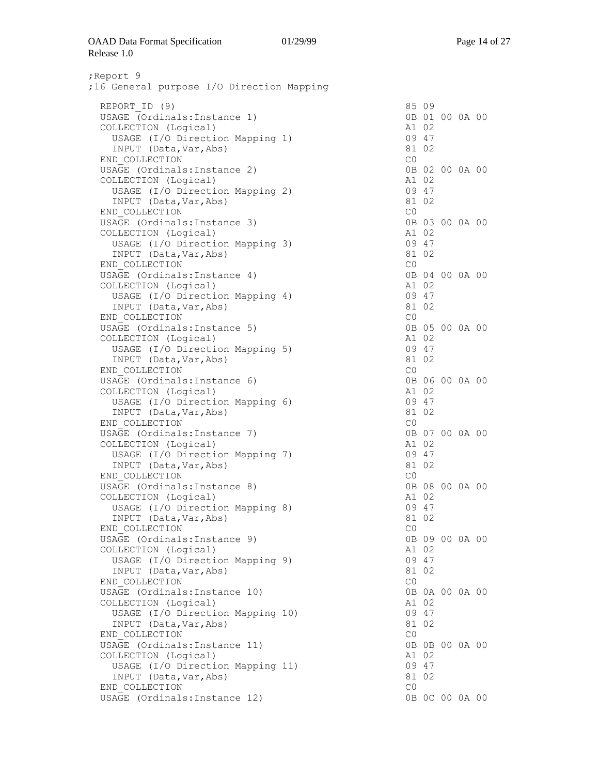#### OAAD Data Format Specification Release 1.0

;Report 9 ;16 General purpose I/O Direction Mapping REPORT ID (9) 85 09 USAGE (Ordinals:Instance 1) 0B 01 00 0A 00 COLLECTION (Logical) A1 02 USAGE (I/O Direction Mapping 1) 09 47 INPUT (Data,Var,Abs) 81 02 END\_COLLECTION C0 USAGE (Ordinals: Instance 2) COLLECTION (Logical) A1 02<br>USAGE (I/O Direction Mapping 2) 09 47 USAGE (I/O Direction Mapping 2) 09 47<br>
INPUT (Data.Var.Abs) 09 47 INPUT (Data, Var, Abs) END\_COLLECTION C0  $USA\overline{GE}$  (Ordinals: Instance 3) COLLECTION (Logical) A1 02 USAGE (I/O Direction Mapping 3) 09 47<br>
INPUT (Data, Var, Abs) 09 47 INPUT (Data,Var,Abs) 81<br>ND COLLECTION CO END COLLECTION USAGE (Ordinals:Instance 4) 0B 04 00 0A 00<br>
COLLECTION (Logical) 0B 04 02 COLLECTION (Logical) USAGE (I/O Direction Mapping 4) 09 47<br>
INPUT (Data, Var, Abs) 02 INPUT (Data, Var, Abs) END COLLECTION CO USAGE (Ordinals: Instance 5) 0B 05 00 0A 00 COLLECTION (Logical) and the collection of the collection of the collection of the collection of the collection of  $\Lambda$ USAGE (I/O Direction Mapping 5) 09 47 INPUT (Data,Var,Abs) 81 02 END\_COLLECTION CO USAGE (Ordinals:Instance 6) 0B 06 00 0A 00 COLLECTION (Logical) A1 02 USAGE (I/O Direction Mapping 6) 09 47<br>INPUT (Data, Var, Abs) 02 INPUT (Data, Var, Abs) END\_COLLECTION CO USAGE (Ordinals:Instance 7) 0B 07 00 0A 00<br>
COLLECTION (Logical) 0B 07 00 0A 00 COLLECTION (Logical) USAGE (I/O Direction Mapping 7) 09 47 INPUT (Data,Var,Abs) 81 02 END\_COLLECTION C0 USAGE (Ordinals:Instance 8) 0B 08<br>
COLLECTION (Logical) 1 02 COLLECTION (Logical) USAGE (I/O Direction Mapping 8) 09 47<br>INPUT (Data, Var, Abs) 02 INPUT (Data, Var, Abs) END COLLECTION CO  $USA\overline{GE}$  (Ordinals:Instance 9) 0B 09 00 0A 00 COLLECTION (Logical) A1 02 USAGE (I/O Direction Mapping 9) 09 47 INPUT (Data,Var,Abs) 81 02 END\_COLLECTION CO USAGE (Ordinals:Instance 10) 0B 0A 00 0A 00<br>
COLLECTION (Logical) 0B 0A 02 COLLECTION (Logical) USAGE (I/O Direction Mapping 10) 09 47<br>
INPUT (Data,Var,Abs) 09 47 INPUT (Data, Var, Abs) END COLLECTION CO USAGE (Ordinals:Instance 11) 0B 0B 00 0A 00<br>
COLLECTION (Logical) 0B 0B 00 0A 00 COLLECTION (Logical) USAGE (I/O Direction Mapping 11) 09 47 INPUT (Data,Var,Abs) 81 02 END\_COLLECTION CO USAGE (Ordinals:Instance 12) 0B 0C 00 0A 00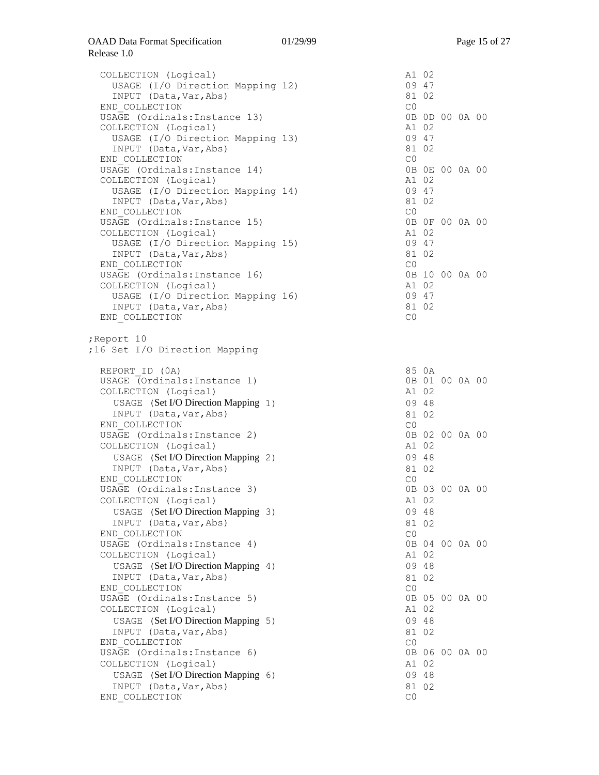| COLLECTION (Logical)<br>USAGE (I/O Direction Mapping 12)<br>INPUT (Data, Var, Abs)                                                      | A1 02<br>09 47<br>81 02          |       |                |  |
|-----------------------------------------------------------------------------------------------------------------------------------------|----------------------------------|-------|----------------|--|
| END COLLECTION<br>USAGE (Ordinals: Instance 13)<br>COLLECTION (Logical)<br>USAGE (I/O Direction Mapping 13)                             | C0<br>A1 02<br>09 47             |       | 0B 0D 00 0A 00 |  |
| INPUT (Data, Var, Abs)<br>END COLLECTION<br>USAGE (Ordinals: Instance 14)<br>COLLECTION (Logical)<br>USAGE (I/O Direction Mapping 14)   | 81 02<br>CO<br>A1 02<br>09 47    |       | 0B 0E 00 0A 00 |  |
| INPUT (Data, Var, Abs)<br>END COLLECTION<br>USAGE (Ordinals: Instance 15)                                                               | 81 02<br>C0                      |       | 0B OF 00 0A 00 |  |
| COLLECTION (Logical)<br>USAGE (I/O Direction Mapping 15)<br>INPUT (Data, Var, Abs)<br>END COLLECTION                                    | A1 02<br>09 47<br>81 02<br>CO    |       |                |  |
| USAGE (Ordinals: Instance 16)<br>COLLECTION (Logical)<br>USAGE (I/O Direction Mapping 16)                                               | A1 02<br>09 47                   |       | 0B 10 00 0A 00 |  |
| INPUT (Data, Var, Abs)<br>END COLLECTION                                                                                                | 81 02<br>C0                      |       |                |  |
| Report 10<br>;16 Set I/O Direction Mapping                                                                                              |                                  |       |                |  |
| REPORT ID (OA)<br>USAGE (Ordinals: Instance 1)<br>COLLECTION (Logical)<br>USAGE (Set I/O Direction Mapping 1)<br>INPUT (Data, Var, Abs) | 85 OA<br>A1 02<br>09 48<br>81 02 |       | 0B 01 00 0A 00 |  |
| END COLLECTION<br>USAGE (Ordinals: Instance 2)<br>COLLECTION (Logical)<br>USAGE (Set I/O Direction Mapping 2)                           | CO<br>A1 02<br>09 48             |       | 0B 02 00 0A 00 |  |
| INPUT (Data, Var, Abs)<br>END COLLECTION<br>USAGE (Ordinals: Instance 3)<br>COLLECTION (Logical)                                        | 81 02<br>CO                      | A1 02 | 0B 03 00 0A 00 |  |
| USAGE (Set I/O Direction Mapping 3)<br>INPUT (Data, Var, Abs)<br>END COLLECTION                                                         | 09 48<br>81 02<br>CO             |       |                |  |
| USAGE (Ordinals: Instance 4)<br>COLLECTION (Logical)<br>USAGE (Set I/O Direction Mapping 4)<br>INPUT (Data, Var, Abs)                   | A1 02<br>09 48<br>81 02          |       | 0B 04 00 0A 00 |  |
| END COLLECTION<br>USAGE (Ordinals: Instance 5)<br>COLLECTION (Logical)<br>USAGE (Set I/O Direction Mapping 5)                           | CO<br>A1 02<br>09 48             |       | 0B 05 00 0A 00 |  |
| INPUT (Data, Var, Abs)<br>END COLLECTION<br>USAGE (Ordinals: Instance 6)                                                                | 81 02<br>CO                      |       | 0B 06 00 0A 00 |  |
| COLLECTION (Logical)<br>USAGE (Set I/O Direction Mapping 6)<br>INPUT (Data, Var, Abs)<br>END COLLECTION                                 | A1 02<br>09 48<br>81 02<br>CO    |       |                |  |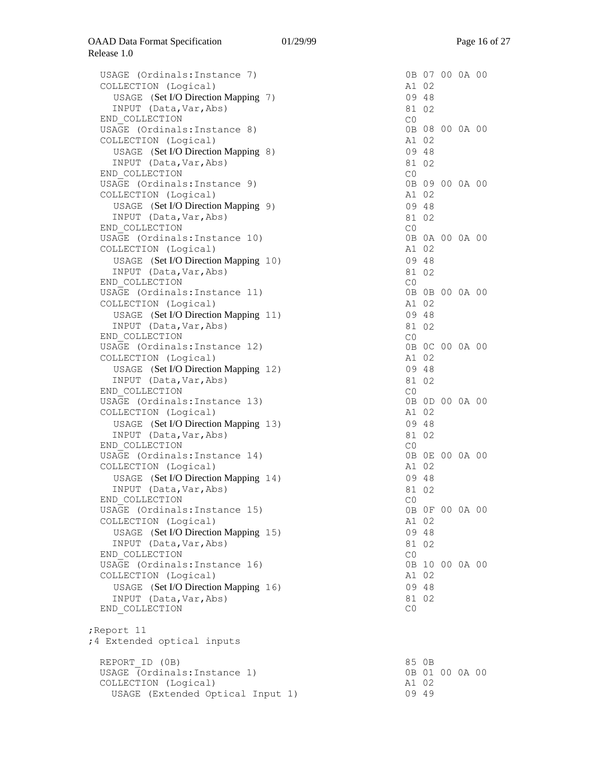| USAGE (Ordinals: Instance 7)<br>COLLECTION (Logical)<br>USAGE (Set I/O Direction Mapping 7)<br>INPUT (Data, Var, Abs)<br>END COLLECTION   | CO | A1 02<br>09 48<br>81 02 | 0B 07 00 0A 00 |  |
|-------------------------------------------------------------------------------------------------------------------------------------------|----|-------------------------|----------------|--|
| USAGE (Ordinals: Instance 8)<br>COLLECTION (Logical)<br>USAGE (Set I/O Direction Mapping 8)<br>INPUT (Data, Var, Abs)                     |    | A1 02<br>09 48<br>81 02 | 0B 08 00 0A 00 |  |
| END COLLECTION<br>USAGE (Ordinals: Instance 9)<br>COLLECTION (Logical)                                                                    | CO | A1 02                   | 0B 09 00 0A 00 |  |
| USAGE (Set I/O Direction Mapping 9)<br>INPUT (Data, Var, Abs)<br>END COLLECTION                                                           | CO | 09 48<br>81 02          |                |  |
| USAGE (Ordinals: Instance 10)<br>COLLECTION (Logical)<br>USAGE (Set I/O Direction Mapping 10)                                             |    | A1 02<br>09 48          | 0B 0A 00 0A 00 |  |
| INPUT (Data, Var, Abs)<br>END COLLECTION                                                                                                  | CO | 81 02                   |                |  |
| USAGE (Ordinals: Instance 11)<br>COLLECTION (Logical)<br>USAGE (Set I/O Direction Mapping 11)                                             |    | A1 02<br>09 48          | 0B 0B 00 0A 00 |  |
| INPUT (Data, Var, Abs)<br>END COLLECTION<br>USAGE (Ordinals: Instance 12)                                                                 | CO | 81 02                   | 0B 0C 00 0A 00 |  |
| COLLECTION (Logical)<br>USAGE (Set I/O Direction Mapping 12)<br>INPUT (Data, Var, Abs)                                                    |    | A1 02<br>09 48<br>81 02 |                |  |
| END COLLECTION<br>USAGE (Ordinals: Instance 13)<br>COLLECTION (Logical)                                                                   | C0 | A1 02                   | 0B 0D 00 0A 00 |  |
| USAGE (Set I/O Direction Mapping 13)<br>INPUT (Data, Var, Abs)<br>END COLLECTION                                                          | C0 | 09 48<br>81 02          |                |  |
| USAGE (Ordinals: Instance 14)<br>COLLECTION (Logical)<br>USAGE (Set I/O Direction Mapping 14)<br>INPUT (Data, Var, Abs)                   |    | A1 02<br>09 48<br>81 02 | 0B 0E 00 0A 00 |  |
| END COLLECTION<br>USAGE (Ordinals: Instance 15)<br>COLLECTION (Logical)                                                                   | CO | A1 02                   | 0B OF 00 0A 00 |  |
| USAGE (Set I/O Direction Mapping 15)<br>INPUT (Data, Var, Abs)<br>END COLLECTION                                                          | CO | 09 48<br>81 02          |                |  |
| USAGE (Ordinals: Instance 16)<br>COLLECTION (Logical)<br>USAGE (Set I/O Direction Mapping 16)<br>INPUT (Data, Var, Abs)<br>END COLLECTION | CO | A1 02<br>09 48<br>81 02 | 0B 10 00 0A 00 |  |
| Report 11<br>;4 Extended optical inputs                                                                                                   |    |                         |                |  |
| REPORT ID (OB)<br>USAGE (Ordinals: Instance 1)<br>COLLECTION (Logical)<br>USAGE (Extended Optical Input 1)                                |    | 85 OB<br>A1 02<br>09 49 | 0B 01 00 0A 00 |  |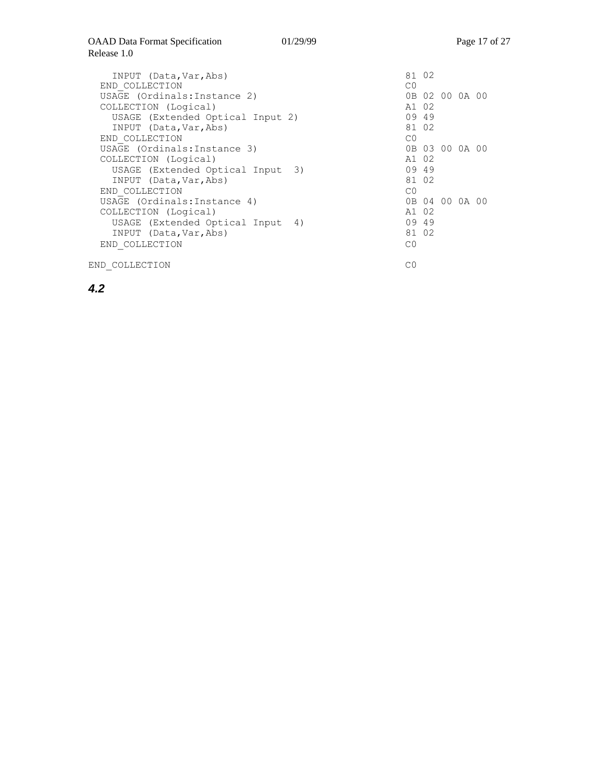C0

| INPUT (Data, Var, Abs)<br>END COLLECTION | C <sub>0</sub> | 81 02 |                |  |
|------------------------------------------|----------------|-------|----------------|--|
| USAGE (Ordinals: Instance 2)             |                |       | 0B 02 00 0A 00 |  |
| COLLECTION (Logical)                     | A1 02          |       |                |  |
| USAGE (Extended Optical Input 2)         |                | 09 49 |                |  |
| INPUT (Data, Var, Abs)                   |                | 81 02 |                |  |
| END COLLECTION                           | C <sub>0</sub> |       |                |  |
| USAGE (Ordinals: Instance 3)             |                |       | 0B 03 00 0A 00 |  |
| COLLECTION (Logical)                     | A1 02          |       |                |  |
| USAGE (Extended Optical Input 3)         |                | 09 49 |                |  |
| INPUT (Data, Var, Abs)                   |                | 81 02 |                |  |
| END COLLECTION                           | CO             |       |                |  |
| USAGE (Ordinals: Instance 4)             |                |       | 0B 04 00 0A 00 |  |
| COLLECTION (Logical)                     | A1 02          |       |                |  |
| USAGE (Extended Optical Input 4)         |                | 09 49 |                |  |
| INPUT (Data, Var, Abs)                   |                | 81 02 |                |  |
| END COLLECTION                           | СO             |       |                |  |
|                                          |                |       |                |  |

END\_COLLECTION

*4.2*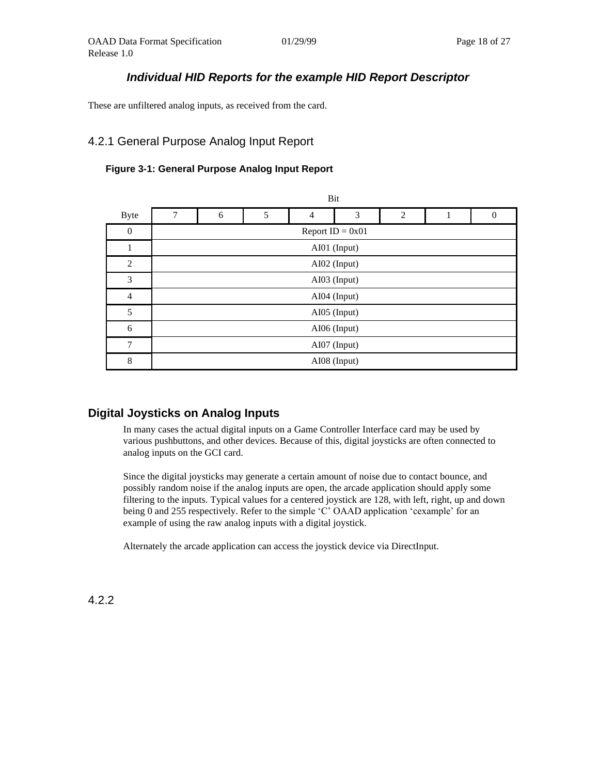### *Individual HID Reports for the example HID Report Descriptor*

These are unfiltered analog inputs, as received from the card.

## <span id="page-17-0"></span>4.2.1 General Purpose Analog Input Report

#### **Figure 3-1: General Purpose Analog Input Report**

|                |   |                    |   | Bit            |              |   |   |          |  |  |  |
|----------------|---|--------------------|---|----------------|--------------|---|---|----------|--|--|--|
| <b>Byte</b>    | 7 | 6                  | 5 | $\overline{4}$ | 3            | 2 | 1 | $\Omega$ |  |  |  |
| $\mathbf{0}$   |   | Report $ID = 0x01$ |   |                |              |   |   |          |  |  |  |
| 1              |   | AI01 (Input)       |   |                |              |   |   |          |  |  |  |
| $\overline{c}$ |   |                    |   |                | AI02 (Input) |   |   |          |  |  |  |
| 3              |   | AI03 (Input)       |   |                |              |   |   |          |  |  |  |
| $\overline{4}$ |   |                    |   |                | AI04 (Input) |   |   |          |  |  |  |
| 5              |   |                    |   |                | AI05 (Input) |   |   |          |  |  |  |
| 6              |   |                    |   |                | AI06 (Input) |   |   |          |  |  |  |
| 7              |   | AI07 (Input)       |   |                |              |   |   |          |  |  |  |
| $\,$ 8 $\,$    |   |                    |   |                | AI08 (Input) |   |   |          |  |  |  |

### **Digital Joysticks on Analog Inputs**

In many cases the actual digital inputs on a Game Controller Interface card may be used by various pushbuttons, and other devices. Because of this, digital joysticks are often connected to analog inputs on the GCI card.

Since the digital joysticks may generate a certain amount of noise due to contact bounce, and possibly random noise if the analog inputs are open, the arcade application should apply some filtering to the inputs. Typical values for a centered joystick are 128, with left, right, up and down being 0 and 255 respectively. Refer to the simple 'C' OAAD application 'cexample' for an example of using the raw analog inputs with a digital joystick.

Alternately the arcade application can access the joystick device via DirectInput.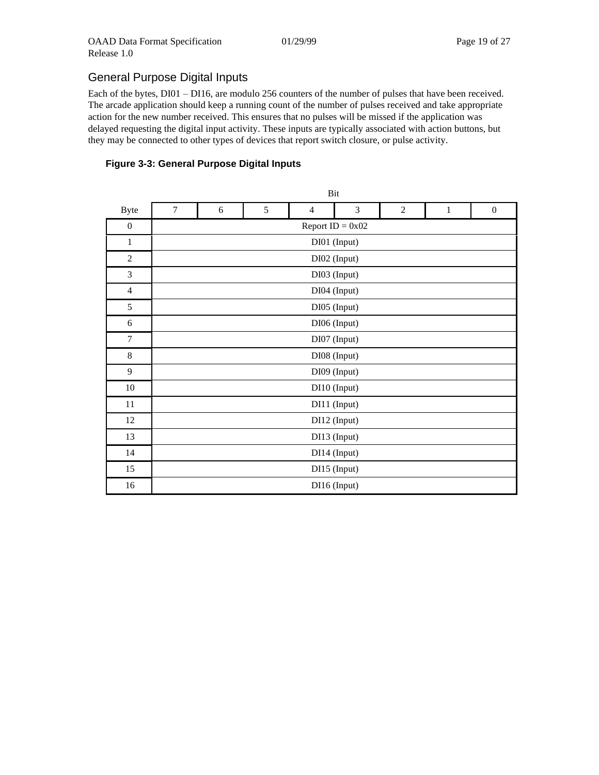# General Purpose Digital Inputs

Each of the bytes, DI01 – DI16, are modulo 256 counters of the number of pulses that have been received. The arcade application should keep a running count of the number of pulses received and take appropriate action for the new number received. This ensures that no pulses will be missed if the application was delayed requesting the digital input activity. These inputs are typically associated with action buttons, but they may be connected to other types of devices that report switch closure, or pulse activity.

#### **Figure 3-3: General Purpose Digital Inputs**

|                  |        |                                                                                     |  | Bit |              |  |  |  |  |  |  |  |
|------------------|--------|-------------------------------------------------------------------------------------|--|-----|--------------|--|--|--|--|--|--|--|
| <b>Byte</b>      | $\tau$ | 5<br>3<br>$\overline{2}$<br>$\overline{4}$<br>$\boldsymbol{0}$<br>6<br>$\mathbf{1}$ |  |     |              |  |  |  |  |  |  |  |
| $\boldsymbol{0}$ |        | Report $ID = 0x02$                                                                  |  |     |              |  |  |  |  |  |  |  |
| $\mathbf{1}$     |        | DI01 (Input)                                                                        |  |     |              |  |  |  |  |  |  |  |
| $\overline{c}$   |        |                                                                                     |  |     | DI02 (Input) |  |  |  |  |  |  |  |
| 3                |        | DI03 (Input)                                                                        |  |     |              |  |  |  |  |  |  |  |
| $\overline{4}$   |        | DI04 (Input)                                                                        |  |     |              |  |  |  |  |  |  |  |
| 5                |        |                                                                                     |  |     | DI05 (Input) |  |  |  |  |  |  |  |
| 6                |        |                                                                                     |  |     | DI06 (Input) |  |  |  |  |  |  |  |
| $\overline{7}$   |        |                                                                                     |  |     | DI07 (Input) |  |  |  |  |  |  |  |
| $\,8\,$          |        |                                                                                     |  |     | DI08 (Input) |  |  |  |  |  |  |  |
| 9                |        |                                                                                     |  |     | DI09 (Input) |  |  |  |  |  |  |  |
| $10\,$           |        |                                                                                     |  |     | DI10 (Input) |  |  |  |  |  |  |  |
| 11               |        |                                                                                     |  |     | DI11 (Input) |  |  |  |  |  |  |  |
| 12               |        |                                                                                     |  |     | DI12 (Input) |  |  |  |  |  |  |  |
| 13               |        |                                                                                     |  |     | DI13 (Input) |  |  |  |  |  |  |  |
| 14               |        | DI14 (Input)                                                                        |  |     |              |  |  |  |  |  |  |  |
| 15               |        |                                                                                     |  |     | DI15 (Input) |  |  |  |  |  |  |  |
| 16               |        |                                                                                     |  |     | DI16 (Input) |  |  |  |  |  |  |  |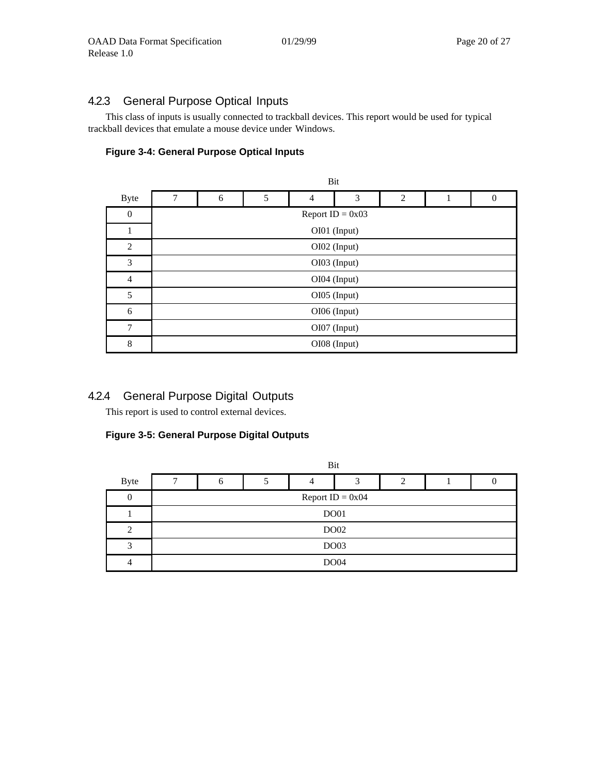### <span id="page-19-0"></span>4.2.3 General Purpose Optical Inputs

This class of inputs is usually connected to trackball devices. This report would be used for typical trackball devices that emulate a mouse device under Windows.

#### **Figure 3-4: General Purpose Optical Inputs**

|                  |   |                                   |  | Bit          |              |  |  |  |  |  |  |  |  |
|------------------|---|-----------------------------------|--|--------------|--------------|--|--|--|--|--|--|--|--|
| <b>Byte</b>      | 7 | 5<br>3<br>2<br>6<br>4<br>$\Omega$ |  |              |              |  |  |  |  |  |  |  |  |
| $\boldsymbol{0}$ |   | Report $ID = 0x03$                |  |              |              |  |  |  |  |  |  |  |  |
| 1                |   |                                   |  |              | OI01 (Input) |  |  |  |  |  |  |  |  |
| $\overline{2}$   |   |                                   |  |              | OI02 (Input) |  |  |  |  |  |  |  |  |
| 3                |   |                                   |  | OI03 (Input) |              |  |  |  |  |  |  |  |  |
| 4                |   |                                   |  |              | OI04 (Input) |  |  |  |  |  |  |  |  |
| 5                |   |                                   |  |              | OI05 (Input) |  |  |  |  |  |  |  |  |
| 6                |   |                                   |  |              | OI06 (Input) |  |  |  |  |  |  |  |  |
| 7                |   | OI07 (Input)                      |  |              |              |  |  |  |  |  |  |  |  |
| 8                |   |                                   |  |              | OI08 (Input) |  |  |  |  |  |  |  |  |

### <span id="page-19-1"></span>4.2.4 General Purpose Digital Outputs

This report is used to control external devices.

#### **Figure 3-5: General Purpose Digital Outputs**

|                |   |             |  | Bit |                    |                |  |  |  |  |  |
|----------------|---|-------------|--|-----|--------------------|----------------|--|--|--|--|--|
| <b>Byte</b>    | ┑ | O           |  | 4   | 3                  | $\overline{c}$ |  |  |  |  |  |
| 0              |   |             |  |     | Report $ID = 0x04$ |                |  |  |  |  |  |
|                |   | <b>DO01</b> |  |     |                    |                |  |  |  |  |  |
| $\overline{c}$ |   |             |  |     | DO02               |                |  |  |  |  |  |
| 3              |   | <b>DO03</b> |  |     |                    |                |  |  |  |  |  |
| 4              |   |             |  |     | <b>DO04</b>        |                |  |  |  |  |  |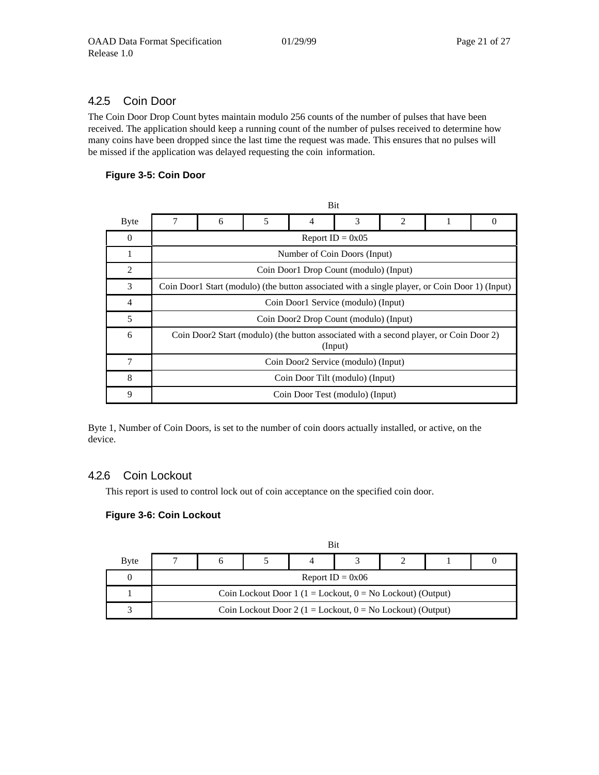### <span id="page-20-0"></span>4.2.5 Coin Door

The Coin Door Drop Count bytes maintain modulo 256 counts of the number of pulses that have been received. The application should keep a running count of the number of pulses received to determine how many coins have been dropped since the last time the request was made. This ensures that no pulses will be missed if the application was delayed requesting the coin information.

#### **Figure 3-5: Coin Door**

|                |   |                                                                                                |   | DIU                                                                                                |   |   |  |          |  |  |  |  |
|----------------|---|------------------------------------------------------------------------------------------------|---|----------------------------------------------------------------------------------------------------|---|---|--|----------|--|--|--|--|
| <b>Byte</b>    | 7 | 6                                                                                              | 5 | 4                                                                                                  | 3 | 2 |  | $\theta$ |  |  |  |  |
| $\Omega$       |   | Report $ID = 0x05$                                                                             |   |                                                                                                    |   |   |  |          |  |  |  |  |
| 1              |   | Number of Coin Doors (Input)                                                                   |   |                                                                                                    |   |   |  |          |  |  |  |  |
| $\overline{2}$ |   |                                                                                                |   | Coin Door1 Drop Count (modulo) (Input)                                                             |   |   |  |          |  |  |  |  |
| 3              |   | Coin Door1 Start (modulo) (the button associated with a single player, or Coin Door 1) (Input) |   |                                                                                                    |   |   |  |          |  |  |  |  |
| $\overline{4}$ |   | Coin Door1 Service (modulo) (Input)                                                            |   |                                                                                                    |   |   |  |          |  |  |  |  |
| 5              |   |                                                                                                |   | Coin Door2 Drop Count (modulo) (Input)                                                             |   |   |  |          |  |  |  |  |
| 6              |   |                                                                                                |   | Coin Door 2 Start (modulo) (the button associated with a second player, or Coin Door 2)<br>(Input) |   |   |  |          |  |  |  |  |
| 7              |   | Coin Door2 Service (modulo) (Input)                                                            |   |                                                                                                    |   |   |  |          |  |  |  |  |
| 8              |   | Coin Door Tilt (modulo) (Input)                                                                |   |                                                                                                    |   |   |  |          |  |  |  |  |
| 9              |   |                                                                                                |   | Coin Door Test (modulo) (Input)                                                                    |   |   |  |          |  |  |  |  |

 $D2t$ 

Byte 1, Number of Coin Doors, is set to the number of coin doors actually installed, or active, on the device.

#### <span id="page-20-1"></span>4.2.6 Coin Lockout

This report is used to control lock out of coin acceptance on the specified coin door.

#### **Figure 3-6: Coin Lockout**

|             |                                                                 |  | Bit |  |  |  |  |  |  |  |
|-------------|-----------------------------------------------------------------|--|-----|--|--|--|--|--|--|--|
| <b>Byte</b> |                                                                 |  |     |  |  |  |  |  |  |  |
|             | Report ID = $0x06$                                              |  |     |  |  |  |  |  |  |  |
|             | Coin Lockout Door 1 ( $1 =$ Lockout, $0 =$ No Lockout) (Output) |  |     |  |  |  |  |  |  |  |
| ◠           | Coin Lockout Door 2 (1 = Lockout, $0 = No$ Lockout) (Output)    |  |     |  |  |  |  |  |  |  |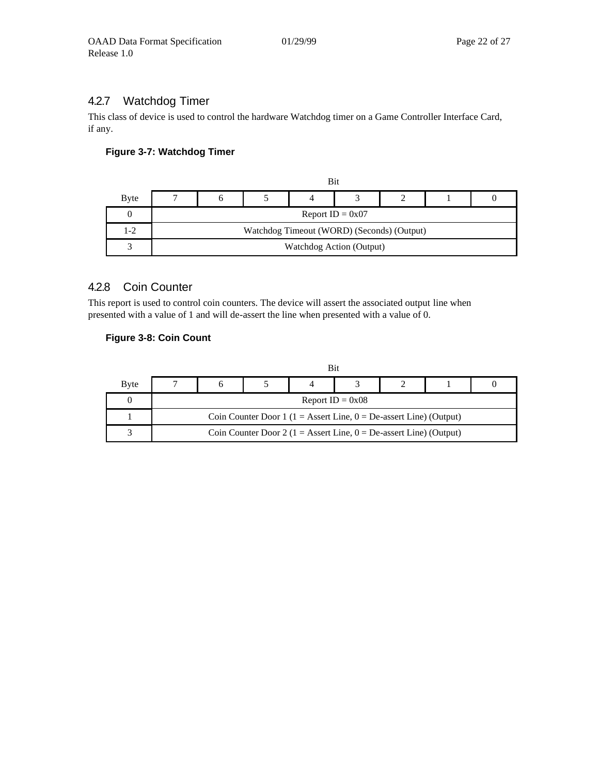## <span id="page-21-0"></span>4.2.7 Watchdog Timer

This class of device is used to control the hardware Watchdog timer on a Game Controller Interface Card, if any.

#### **Figure 3-7: Watchdog Timer**

|             |                                            |  | Bit                      |  |  |  |  |  |  |  |
|-------------|--------------------------------------------|--|--------------------------|--|--|--|--|--|--|--|
| <b>Byte</b> |                                            |  |                          |  |  |  |  |  |  |  |
|             | Report $ID = 0x07$                         |  |                          |  |  |  |  |  |  |  |
| $1 - 2$     | Watchdog Timeout (WORD) (Seconds) (Output) |  |                          |  |  |  |  |  |  |  |
|             |                                            |  | Watchdog Action (Output) |  |  |  |  |  |  |  |

### <span id="page-21-1"></span>4.2.8 Coin Counter

This report is used to control coin counters. The device will assert the associated output line when presented with a value of 1 and will de-assert the line when presented with a value of 0.

#### **Figure 3-8: Coin Count**

|              |                                                                         |                                                                         |  | Bit |  |  |  |  |  |  |
|--------------|-------------------------------------------------------------------------|-------------------------------------------------------------------------|--|-----|--|--|--|--|--|--|
| <b>B</b> yte |                                                                         |                                                                         |  |     |  |  |  |  |  |  |
|              | Report $ID = 0x08$                                                      |                                                                         |  |     |  |  |  |  |  |  |
|              | Coin Counter Door 1 ( $1 =$ Assert Line, $0 =$ De-assert Line) (Output) |                                                                         |  |     |  |  |  |  |  |  |
|              |                                                                         | Coin Counter Door 2 ( $1 =$ Assert Line, $0 =$ De-assert Line) (Output) |  |     |  |  |  |  |  |  |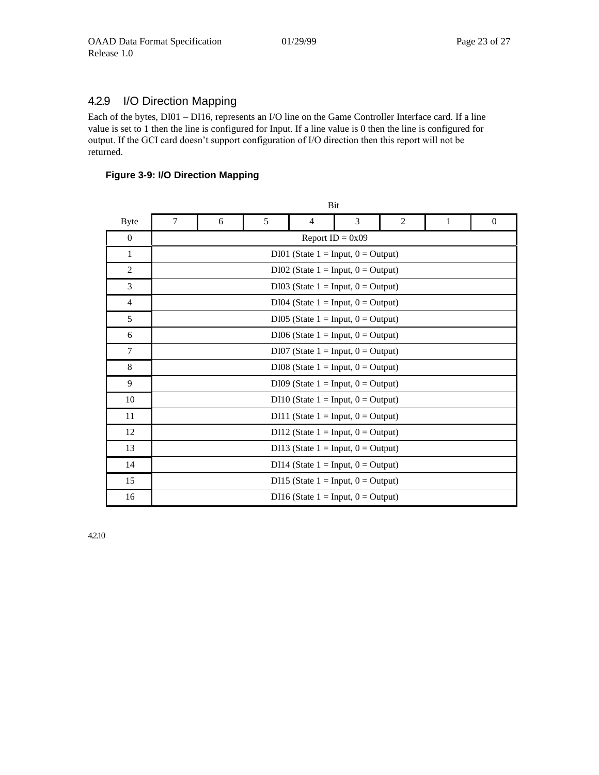# <span id="page-22-0"></span>4.2.9 I/O Direction Mapping

Each of the bytes, DI01 – DI16, represents an I/O line on the Game Controller Interface card. If a line value is set to 1 then the line is configured for Input. If a line value is 0 then the line is configured for output. If the GCI card doesn't support configuration of I/O direction then this report will not be returned.

#### **Figure 3-9: I/O Direction Mapping**

|                |   |                                       |                                       | Bit                                     |  |  |  |  |  |  |  |  |  |  |
|----------------|---|---------------------------------------|---------------------------------------|-----------------------------------------|--|--|--|--|--|--|--|--|--|--|
| <b>Byte</b>    | 7 | 6                                     | 5<br>3<br>2<br>$\mathbf{0}$<br>4<br>1 |                                         |  |  |  |  |  |  |  |  |  |  |
| $\theta$       |   | Report $ID = 0x09$                    |                                       |                                         |  |  |  |  |  |  |  |  |  |  |
| 1              |   |                                       |                                       | DI01 (State $1 = Input, 0 = Output$ )   |  |  |  |  |  |  |  |  |  |  |
| $\overline{2}$ |   | DI02 (State $1 = Input, 0 = Output$ ) |                                       |                                         |  |  |  |  |  |  |  |  |  |  |
| 3              |   | DI03 (State $1 = Input, 0 = Output$ ) |                                       |                                         |  |  |  |  |  |  |  |  |  |  |
| $\overline{4}$ |   |                                       |                                       | DI04 (State $1 = Input, 0 = Output$ )   |  |  |  |  |  |  |  |  |  |  |
| 5              |   |                                       |                                       | DI05 (State $1 = Input, 0 = Output$ )   |  |  |  |  |  |  |  |  |  |  |
| 6              |   |                                       |                                       | $DI06$ (State $1 = Input, 0 = Output$ ) |  |  |  |  |  |  |  |  |  |  |
| $\tau$         |   |                                       |                                       | $DI07$ (State $1 = Input, 0 = Output$ ) |  |  |  |  |  |  |  |  |  |  |
| 8              |   |                                       |                                       | DI08 (State $1 = Input, 0 = Output$ )   |  |  |  |  |  |  |  |  |  |  |
| 9              |   |                                       |                                       | DI09 (State $1 = Input, 0 = Output$ )   |  |  |  |  |  |  |  |  |  |  |
| 10             |   |                                       |                                       | DI10 (State $1 = Input, 0 = Output$ )   |  |  |  |  |  |  |  |  |  |  |
| 11             |   |                                       |                                       | DI11 (State $1 = Input, 0 = Output$ )   |  |  |  |  |  |  |  |  |  |  |
| 12             |   |                                       |                                       | DI12 (State $1 = Input, 0 = Output$ )   |  |  |  |  |  |  |  |  |  |  |
| 13             |   |                                       |                                       | DI13 (State $1 = Input, 0 = Output$ )   |  |  |  |  |  |  |  |  |  |  |
| 14             |   | DI14 (State $1 = Input, 0 = Output$ ) |                                       |                                         |  |  |  |  |  |  |  |  |  |  |
| 15             |   | DI15 (State $1 = Input, 0 = Output$ ) |                                       |                                         |  |  |  |  |  |  |  |  |  |  |
| 16             |   |                                       |                                       | DI16 (State $1 = Input, 0 = Output$ )   |  |  |  |  |  |  |  |  |  |  |

4.2.10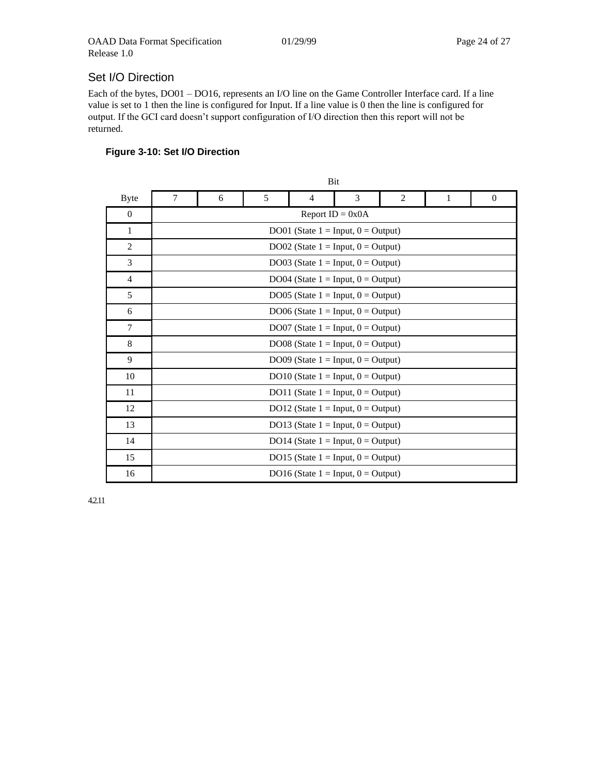# Set I/O Direction

Each of the bytes, DO01 – DO16, represents an I/O line on the Game Controller Interface card. If a line value is set to 1 then the line is configured for Input. If a line value is 0 then the line is configured for output. If the GCI card doesn't support configuration of I/O direction then this report will not be returned.

# **Figure 3-10: Set I/O Direction**

|                | Bit            |                                       |   |                                       |   |   |              |              |  |  |  |  |
|----------------|----------------|---------------------------------------|---|---------------------------------------|---|---|--------------|--------------|--|--|--|--|
| <b>Byte</b>    | $\overline{7}$ | 6                                     | 5 | $\overline{4}$                        | 3 | 2 | $\mathbf{1}$ | $\mathbf{0}$ |  |  |  |  |
| $\mathbf{0}$   |                | Report $ID = 0x0A$                    |   |                                       |   |   |              |              |  |  |  |  |
| 1              |                | DO01 (State $1 = Input, 0 = Output$ ) |   |                                       |   |   |              |              |  |  |  |  |
| $\overline{2}$ |                |                                       |   | DO02 (State $1 = Input, 0 = Output$ ) |   |   |              |              |  |  |  |  |
| 3              |                |                                       |   | DO03 (State $1 = Input, 0 = Output$ ) |   |   |              |              |  |  |  |  |
| $\overline{4}$ |                |                                       |   | DO04 (State $1 = Input, 0 = Output$ ) |   |   |              |              |  |  |  |  |
| 5              |                |                                       |   | DO05 (State $1 = Input, 0 = Output$ ) |   |   |              |              |  |  |  |  |
| 6              |                |                                       |   | DO06 (State $1 = Input, 0 = Output$ ) |   |   |              |              |  |  |  |  |
| 7              |                |                                       |   | DO07 (State $1 = Input, 0 = Output$ ) |   |   |              |              |  |  |  |  |
| 8              |                |                                       |   | DO08 (State $1 = Input, 0 = Output$ ) |   |   |              |              |  |  |  |  |
| 9              |                |                                       |   | DO09 (State $1 = Input, 0 = Output$ ) |   |   |              |              |  |  |  |  |
| 10             |                |                                       |   | DO10 (State $1 = Input, 0 = Output$ ) |   |   |              |              |  |  |  |  |
| 11             |                |                                       |   | DO11 (State $1 = Input, 0 = Output$ ) |   |   |              |              |  |  |  |  |
| 12             |                |                                       |   | DO12 (State $1 = Input, 0 = Output$ ) |   |   |              |              |  |  |  |  |
| 13             |                |                                       |   | DO13 (State $1 = Input, 0 = Output$ ) |   |   |              |              |  |  |  |  |
| 14             |                | DO14 (State $1 = Input, 0 = Output$ ) |   |                                       |   |   |              |              |  |  |  |  |
| 15             |                | DO15 (State $1 = Input, 0 = Output$ ) |   |                                       |   |   |              |              |  |  |  |  |
| 16             |                |                                       |   | DO16 (State $1 = Input, 0 = Output$ ) |   |   |              |              |  |  |  |  |

4.2.11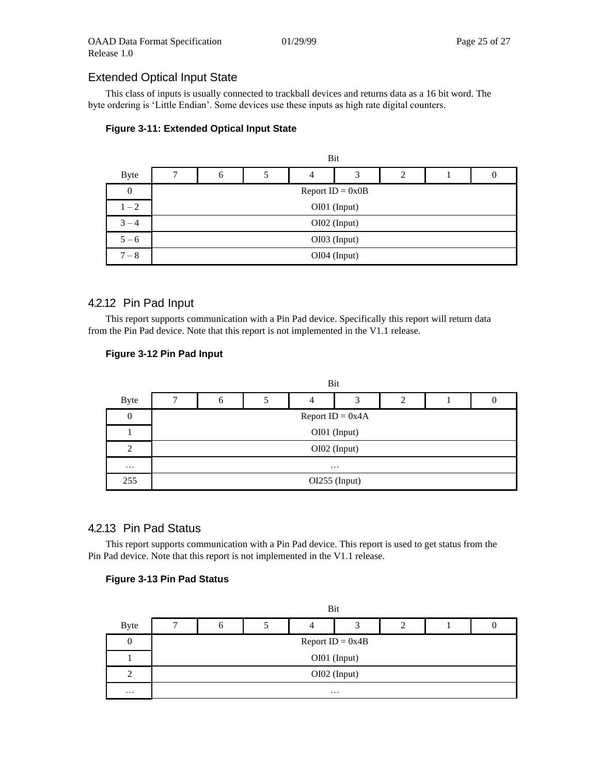### Extended Optical Input State

This class of inputs is usually connected to trackball devices and returns data as a 16 bit word. The byte ordering is 'Little Endian'. Some devices use these inputs as high rate digital counters.

#### **Figure 3-11: Extended Optical Input State**

|                  | Bit                        |                    |  |  |  |  |  |  |  |  |  |  |
|------------------|----------------------------|--------------------|--|--|--|--|--|--|--|--|--|--|
| <b>Byte</b>      | 3<br>7<br>2<br>6<br>4<br>O |                    |  |  |  |  |  |  |  |  |  |  |
| $\boldsymbol{0}$ |                            | Report $ID = 0x0B$ |  |  |  |  |  |  |  |  |  |  |
| $1 - 2$          | OI01 (Input)               |                    |  |  |  |  |  |  |  |  |  |  |
| $3 - 4$          | OI02 (Input)               |                    |  |  |  |  |  |  |  |  |  |  |
| $5 - 6$          | OI03 (Input)               |                    |  |  |  |  |  |  |  |  |  |  |
| $7 - 8$          | OI04 (Input)               |                    |  |  |  |  |  |  |  |  |  |  |

#### 4.2.12 Pin Pad Input

This report supports communication with a Pin Pad device. Specifically this report will return data from the Pin Pad device. Note that this report is not implemented in the V1.1 release.

#### **Figure 3-12 Pin Pad Input**

|                | Bit                                |  |  |  |  |  |  |  |  |  |  |
|----------------|------------------------------------|--|--|--|--|--|--|--|--|--|--|
| <b>Byte</b>    | $\overline{2}$<br>┑<br>3<br>4<br>6 |  |  |  |  |  |  |  |  |  |  |
| $\theta$       | Report $ID = 0x4A$                 |  |  |  |  |  |  |  |  |  |  |
|                | OI01 (Input)                       |  |  |  |  |  |  |  |  |  |  |
| $\overline{2}$ | OI02 (Input)                       |  |  |  |  |  |  |  |  |  |  |
| $\cdots$       | $\cdots$                           |  |  |  |  |  |  |  |  |  |  |
| 255            | OI255 (Input)                      |  |  |  |  |  |  |  |  |  |  |

#### 4.2.13 Pin Pad Status

This report supports communication with a Pin Pad device. This report is used to get status from the Pin Pad device. Note that this report is not implemented in the V1.1 release.

#### **Figure 3-13 Pin Pad Status**

|             | Bit                |          |  |   |   |   |  |  |  |  |
|-------------|--------------------|----------|--|---|---|---|--|--|--|--|
| <b>Byte</b> | −                  | $\sigma$ |  | 4 | 3 | 2 |  |  |  |  |
| 0           | Report $ID = 0x4B$ |          |  |   |   |   |  |  |  |  |
|             | OI01 (Input)       |          |  |   |   |   |  |  |  |  |
| 2           | OI02 (Input)       |          |  |   |   |   |  |  |  |  |
| $\cdots$    | $\cdots$           |          |  |   |   |   |  |  |  |  |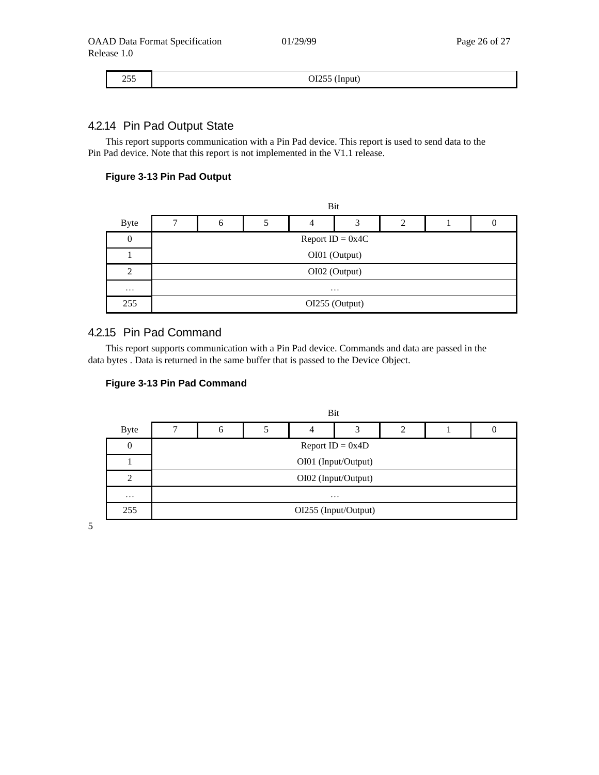I

## 4.2.14 Pin Pad Output State

This report supports communication with a Pin Pad device. This report is used to send data to the Pin Pad device. Note that this report is not implemented in the V1.1 release.

#### **Figure 3-13 Pin Pad Output**

|                | Bit                   |                    |  |  |  |  |  |  |  |  |  |
|----------------|-----------------------|--------------------|--|--|--|--|--|--|--|--|--|
| <b>Byte</b>    | ┑<br>3<br>2<br>4<br>6 |                    |  |  |  |  |  |  |  |  |  |
| $\theta$       |                       | Report $ID = 0x4C$ |  |  |  |  |  |  |  |  |  |
|                | OI01 (Output)         |                    |  |  |  |  |  |  |  |  |  |
| $\overline{2}$ | OI02 (Output)         |                    |  |  |  |  |  |  |  |  |  |
| $\cdots$       | $\cdots$              |                    |  |  |  |  |  |  |  |  |  |
| 255            | OI255 (Output)        |                    |  |  |  |  |  |  |  |  |  |

#### 4.2.15 Pin Pad Command

This report supports communication with a Pin Pad device. Commands and data are passed in the data bytes . Data is returned in the same buffer that is passed to the Device Object.

#### **Figure 3-13 Pin Pad Command**



5